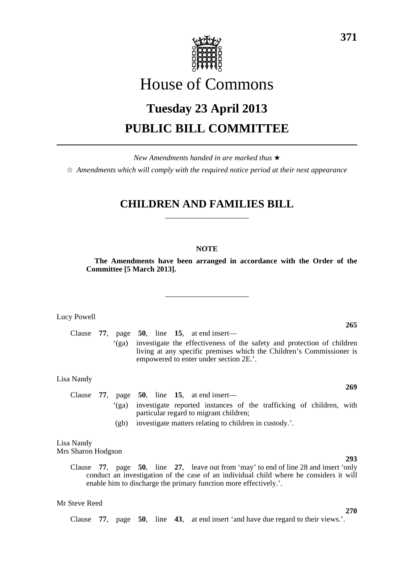

# House of Commons

# **Tuesday 23 April 2013 PUBLIC BILL COMMITTEE**

*New Amendments handed in are marked thus* \*

 $\dot{\varphi}$  *Amendments which will comply with the required notice period at their next appearance* 

# **CHILDREN AND FAMILIES BILL**

### **NOTE**

**The Amendments have been arranged in accordance with the Order of the Committee [5 March 2013].**

Lucy Powell

Clause **77**, page **50**, line **15**, at end insert— '(ga) investigate the effectiveness of the safety and protection of children living at any specific premises which the Children's Commissioner is empowered to enter under section 2E.'.

Lisa Nandy

Clause **77**, page **50**, line **15**, at end insert— '(ga) investigate reported instances of the trafficking of children, with particular regard to migrant children;

(gb) investigate matters relating to children in custody.'.

#### Lisa Nandy Mrs Sharon Hodgson

Clause **77**, page **50**, line **27**, leave out from 'may' to end of line 28 and insert 'only conduct an investigation of the case of an individual child where he considers it will enable him to discharge the primary function more effectively.'.

#### Mr Steve Reed

Clause **77**, page **50**, line **43**, at end insert 'and have due regard to their views.'.

## **265**

**269**

# **293**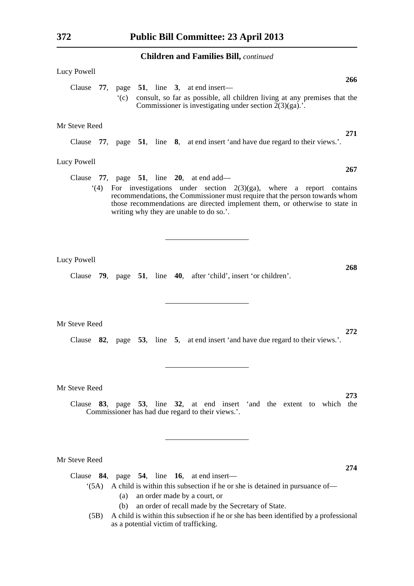| Lucy Powell<br>266                                                                                                                                                                                                                                                                |
|-----------------------------------------------------------------------------------------------------------------------------------------------------------------------------------------------------------------------------------------------------------------------------------|
| Clause $77$ , page $51$ , line 3, at end insert—<br>consult, so far as possible, all children living at any premises that the<br>$\degree$ (c)<br>Commissioner is investigating under section $2(3)(ga)$ .                                                                        |
| Mr Steve Reed                                                                                                                                                                                                                                                                     |
| 271<br>Clause 77, page 51, line 8, at end insert 'and have due regard to their views.'.                                                                                                                                                                                           |
| Lucy Powell<br>267                                                                                                                                                                                                                                                                |
| Clause $77$ , page $51$ , line $20$ , at end add—                                                                                                                                                                                                                                 |
| $(4)$ For investigations under section 2(3)(ga), where a report contains<br>recommendations, the Commissioner must require that the person towards whom<br>those recommendations are directed implement them, or otherwise to state in<br>writing why they are unable to do so.'. |
| Lucy Powell<br>268                                                                                                                                                                                                                                                                |
| Clause 79, page 51, line 40, after 'child', insert 'or children'.                                                                                                                                                                                                                 |
| Mr Steve Reed                                                                                                                                                                                                                                                                     |
| 272<br>Clause 82, page 53, line 5, at end insert 'and have due regard to their views.'.                                                                                                                                                                                           |
| Mr Steve Reed                                                                                                                                                                                                                                                                     |
| 273                                                                                                                                                                                                                                                                               |
| Clause 83, page 53, line 32, at end insert 'and the extent to which the<br>Commissioner has had due regard to their views.'.                                                                                                                                                      |

Mr Steve Reed

Clause **84**, page **54**, line **16**, at end insert—

- '(5A) A child is within this subsection if he or she is detained in pursuance of—
	- (a) an order made by a court, or
	- (b) an order of recall made by the Secretary of State.
- (5B) A child is within this subsection if he or she has been identified by a professional as a potential victim of trafficking.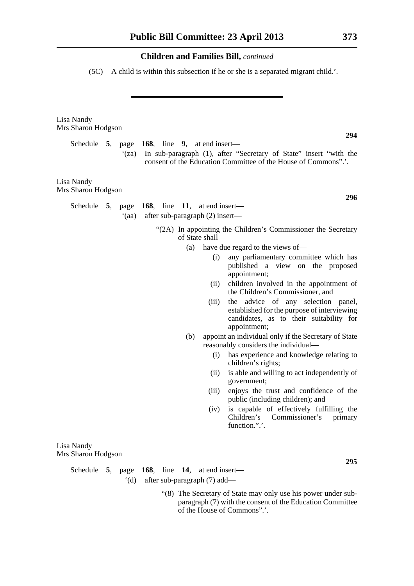(5C) A child is within this subsection if he or she is a separated migrant child.'.

| Lisa Nandy<br>Mrs Sharon Hodgson                                                                                                                      |
|-------------------------------------------------------------------------------------------------------------------------------------------------------|
| 294<br>Schedule 5, page $168$ , line 9, at end insert—                                                                                                |
| In sub-paragraph (1), after "Secretary of State" insert "with the<br>$\mathbf{f}(z)$<br>consent of the Education Committee of the House of Commons"   |
| Lisa Nandy<br>Mrs Sharon Hodgson                                                                                                                      |
| 296                                                                                                                                                   |
| Schedule 5, page $168$ , line 11, at end insert—<br>after sub-paragraph (2) insert—<br>(aa)                                                           |
| "(2A) In appointing the Children's Commissioner the Secretary<br>of State shall-                                                                      |
| have due regard to the views of—<br>(a)                                                                                                               |
| any parliamentary committee which has<br>(i)<br>published a view on the proposed<br>appointment;                                                      |
| children involved in the appointment of<br>(ii)<br>the Children's Commissioner, and                                                                   |
| the advice of any selection panel,<br>(iii)<br>established for the purpose of interviewing<br>candidates, as to their suitability for<br>appointment; |
| appoint an individual only if the Secretary of State<br>(b)<br>reasonably considers the individual-                                                   |
| has experience and knowledge relating to<br>(i)<br>children's rights;                                                                                 |
| is able and willing to act independently of<br>(ii)<br>government;                                                                                    |
| enjoys the trust and confidence of the<br>(iii)<br>public (including children); and                                                                   |
| is capable of effectively fulfilling the<br>(iv)<br>Children's Commissioner's primary<br>function.".'.                                                |
| Lisa Nandy<br>Mrs Sharon Hodgson                                                                                                                      |
| 295<br>Schedule 5, page 168, line 14, at end insert—                                                                                                  |

'(d) after sub-paragraph (7) add—

 "(8) The Secretary of State may only use his power under subparagraph (7) with the consent of the Education Committee of the House of Commons".'.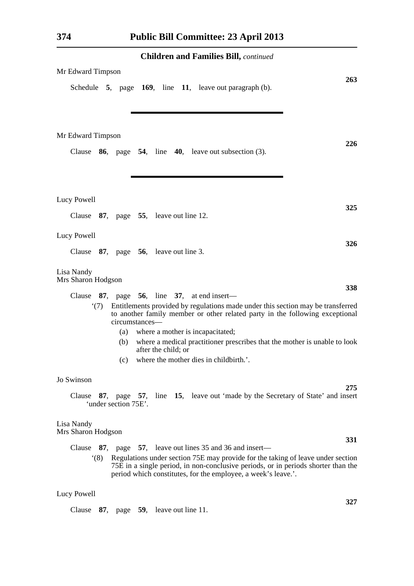| Mr Edward Timpson<br>263                                                                                                                                                                                                                                                                                                      |  |  |  |  |  |  |
|-------------------------------------------------------------------------------------------------------------------------------------------------------------------------------------------------------------------------------------------------------------------------------------------------------------------------------|--|--|--|--|--|--|
| Schedule 5, page 169, line 11, leave out paragraph (b).                                                                                                                                                                                                                                                                       |  |  |  |  |  |  |
| Mr Edward Timpson<br>226<br>Clause $86$ , page $54$ , line $40$ , leave out subsection (3).                                                                                                                                                                                                                                   |  |  |  |  |  |  |
|                                                                                                                                                                                                                                                                                                                               |  |  |  |  |  |  |
| Lucy Powell<br>325<br>Clause 87, page 55, leave out line 12.                                                                                                                                                                                                                                                                  |  |  |  |  |  |  |
| Lucy Powell<br>326<br>Clause $87$ , page $56$ , leave out line 3.                                                                                                                                                                                                                                                             |  |  |  |  |  |  |
| Lisa Nandy<br>Mrs Sharon Hodgson                                                                                                                                                                                                                                                                                              |  |  |  |  |  |  |
| 338<br>87, page $56$ , line 37, at end insert—<br>Clause<br>Entitlements provided by regulations made under this section may be transferred<br>(7)<br>to another family member or other related party in the following exceptional<br>circumstances—                                                                          |  |  |  |  |  |  |
| where a mother is incapacitated;<br>(a)<br>where a medical practitioner prescribes that the mother is unable to look<br>(b)<br>after the child; or<br>where the mother dies in childbirth.'.<br>(c)                                                                                                                           |  |  |  |  |  |  |
| Jo Swinson<br>275<br>Clause 87, page 57, line 15, leave out 'made by the Secretary of State' and insert<br>'under section 75E'.                                                                                                                                                                                               |  |  |  |  |  |  |
| Lisa Nandy<br>Mrs Sharon Hodgson                                                                                                                                                                                                                                                                                              |  |  |  |  |  |  |
| <b>331</b><br>Clause $87$ , page $57$ , leave out lines 35 and 36 and insert—<br>Regulations under section 75E may provide for the taking of leave under section<br>(8)<br>75E in a single period, in non-conclusive periods, or in periods shorter than the<br>period which constitutes, for the employee, a week's leave.'. |  |  |  |  |  |  |
| Lucy Powell                                                                                                                                                                                                                                                                                                                   |  |  |  |  |  |  |

**327**

Clause **87**, page **59**, leave out line 11.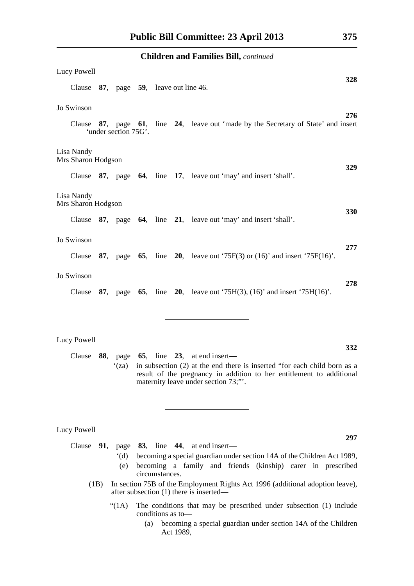| <b>Children and Families Bill, continued</b> |  |                      |  |  |  |                                                                                    |     |
|----------------------------------------------|--|----------------------|--|--|--|------------------------------------------------------------------------------------|-----|
| Lucy Powell                                  |  |                      |  |  |  |                                                                                    |     |
| Clause 87, page 59, leave out line 46.       |  |                      |  |  |  |                                                                                    | 328 |
| Jo Swinson                                   |  |                      |  |  |  |                                                                                    |     |
|                                              |  | 'under section 75G'. |  |  |  | Clause 87, page 61, line 24, leave out 'made by the Secretary of State' and insert | 276 |
| Lisa Nandy<br>Mrs Sharon Hodgson             |  |                      |  |  |  |                                                                                    | 329 |
|                                              |  |                      |  |  |  | Clause 87, page 64, line 17, leave out 'may' and insert 'shall'.                   |     |
| Lisa Nandy<br>Mrs Sharon Hodgson             |  |                      |  |  |  |                                                                                    |     |
|                                              |  |                      |  |  |  | Clause 87, page 64, line 21, leave out 'may' and insert 'shall'.                   | 330 |
| Jo Swinson                                   |  |                      |  |  |  |                                                                                    | 277 |
|                                              |  |                      |  |  |  | Clause 87, page 65, line 20, leave out '75F(3) or $(16)$ ' and insert '75F(16)'.   |     |
| Jo Swinson                                   |  |                      |  |  |  |                                                                                    | 278 |
|                                              |  |                      |  |  |  | Clause 87, page 65, line 20, leave out '75H(3), (16)' and insert '75H(16)'.        |     |
|                                              |  |                      |  |  |  |                                                                                    |     |
| Lucy Powell                                  |  |                      |  |  |  |                                                                                    | 332 |
|                                              |  |                      |  |  |  |                                                                                    |     |

Clause **88**, page **65**, line **23**, at end insert— '(za) in subsection (2) at the end there is inserted "for each child born as a result of the pregnancy in addition to her entitlement to additional maternity leave under section 73;"'.

Lucy Powell

Clause **91**, page **83**, line **44**, at end insert—

- '(d) becoming a special guardian under section 14A of the Children Act 1989,
- (e) becoming a family and friends (kinship) carer in prescribed circumstances.
- (1B) In section 75B of the Employment Rights Act 1996 (additional adoption leave), after subsection (1) there is inserted—
	- "(1A) The conditions that may be prescribed under subsection (1) include conditions as to—
		- (a) becoming a special guardian under section 14A of the Children Act 1989,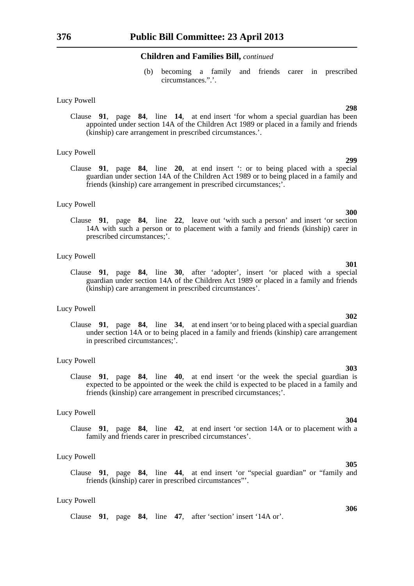(b) becoming a family and friends carer in prescribed circumstances.".'.

#### Lucy Powell

Clause **91**, page **84**, line **14**, at end insert 'for whom a special guardian has been appointed under section 14A of the Children Act 1989 or placed in a family and friends (kinship) care arrangement in prescribed circumstances.'.

#### Lucy Powell

Clause **91**, page **84**, line **20**, at end insert ': or to being placed with a special guardian under section 14A of the Children Act 1989 or to being placed in a family and friends (kinship) care arrangement in prescribed circumstances;'.

#### Lucy Powell

Clause **91**, page **84**, line **22**, leave out 'with such a person' and insert 'or section 14A with such a person or to placement with a family and friends (kinship) carer in prescribed circumstances;'.

#### Lucy Powell

Clause **91**, page **84**, line **30**, after 'adopter', insert 'or placed with a special guardian under section 14A of the Children Act 1989 or placed in a family and friends (kinship) care arrangement in prescribed circumstances'.

#### Lucy Powell

Clause **91**, page **84**, line **34**, at end insert 'or to being placed with a special guardian under section 14A or to being placed in a family and friends (kinship) care arrangement in prescribed circumstances;'.

#### Lucy Powell

Clause **91**, page **84**, line **40**, at end insert 'or the week the special guardian is expected to be appointed or the week the child is expected to be placed in a family and friends (kinship) care arrangement in prescribed circumstances;'.

#### Lucy Powell

Clause **91**, page **84**, line **42**, at end insert 'or section 14A or to placement with a family and friends carer in prescribed circumstances'.

#### Lucy Powell

Clause **91**, page **84**, line **44**, at end insert 'or "special guardian" or "family and friends (kinship) carer in prescribed circumstances"'.

#### Lucy Powell

Clause **91**, page **84**, line **47**, after 'section' insert '14A or'.

**300**

### **302**

### **303**

### **304**

# **306**

**299**

**298**

**301**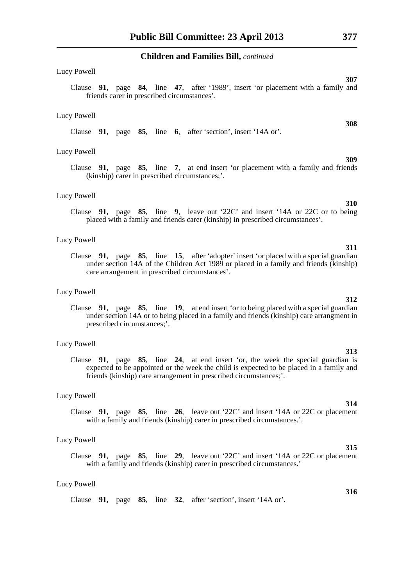#### Lucy Powell

Clause **91**, page **84**, line **47**, after '1989', insert 'or placement with a family and friends carer in prescribed circumstances'.

#### Lucy Powell

Clause **91**, page **85**, line **6**, after 'section', insert '14A or'.

#### Lucy Powell

Clause **91**, page **85**, line **7**, at end insert 'or placement with a family and friends (kinship) carer in prescribed circumstances;'.

#### Lucy Powell

Clause **91**, page **85**, line **9**, leave out '22C' and insert '14A or 22C or to being placed with a family and friends carer (kinship) in prescribed circumstances'.

#### Lucy Powell

Clause **91**, page **85**, line **15**, after 'adopter' insert 'or placed with a special guardian under section 14A of the Children Act 1989 or placed in a family and friends (kinship) care arrangement in prescribed circumstances'.

#### Lucy Powell

Clause **91**, page **85**, line **19**, at end insert 'or to being placed with a special guardian under section 14A or to being placed in a family and friends (kinship) care arrangment in prescribed circumstances;'.

#### Lucy Powell

Clause **91**, page **85**, line **24**, at end insert 'or, the week the special guardian is expected to be appointed or the week the child is expected to be placed in a family and friends (kinship) care arrangement in prescribed circumstances;'.

#### Lucy Powell

Clause **91**, page **85**, line **26**, leave out '22C' and insert '14A or 22C or placement with a family and friends (kinship) carer in prescribed circumstances.'.

#### Lucy Powell

Clause **91**, page **85**, line **29**, leave out '22C' and insert '14A or 22C or placement with a family and friends (kinship) carer in prescribed circumstances.'

#### Lucy Powell

Clause **91**, page **85**, line **32**, after 'section', insert '14A or'.

### **314**

**313**

**310**

**309**

**312**

#### **315**

**316**

**311**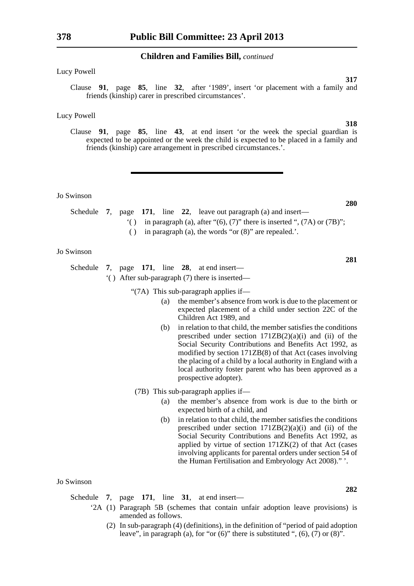Lucy Powell

Clause **91**, page **85**, line **32**, after '1989', insert 'or placement with a family and friends (kinship) carer in prescribed circumstances'.

#### Lucy Powell

Clause **91**, page **85**, line **43**, at end insert 'or the week the special guardian is expected to be appointed or the week the child is expected to be placed in a family and friends (kinship) care arrangement in prescribed circumstances.'.

Jo Swinson

- Schedule **7**, page **171**, line **22**, leave out paragraph (a) and insert—
	- '( ) in paragraph (a), after " $(6)$ ,  $(7)$ " there is inserted ",  $(7A)$  or  $(7B)$ ";
	- ( ) in paragraph (a), the words "or (8)" are repealed.'.

#### Jo Swinson

Schedule **7**, page **171**, line **28**, at end insert— '( ) After sub-paragraph (7) there is inserted—

"(7A) This sub-paragraph applies if—

- (a) the member's absence from work is due to the placement or expected placement of a child under section 22C of the Children Act 1989, and
- (b) in relation to that child, the member satisfies the conditions prescribed under section  $171ZB(2)(a)(i)$  and (ii) of the Social Security Contributions and Benefits Act 1992, as modified by section 171ZB(8) of that Act (cases involving the placing of a child by a local authority in England with a local authority foster parent who has been approved as a prospective adopter).
- (7B) This sub-paragraph applies if—
	- (a) the member's absence from work is due to the birth or expected birth of a child, and
	- (b) in relation to that child, the member satisfies the conditions prescribed under section  $171ZB(2)(a)(i)$  and (ii) of the Social Security Contributions and Benefits Act 1992, as applied by virtue of section 171ZK(2) of that Act (cases involving applicants for parental orders under section 54 of the Human Fertilisation and Embryology Act 2008)." '.

#### Jo Swinson

Schedule **7**, page **171**, line **31**, at end insert—

- '2A (1) Paragraph 5B (schemes that contain unfair adoption leave provisions) is amended as follows.
	- (2) In sub-paragraph (4) (definitions), in the definition of "period of paid adoption leave", in paragraph (a), for "or  $(6)$ " there is substituted ",  $(6)$ ,  $(7)$  or  $(8)$ ".

**280**

**317**

**318**

**281**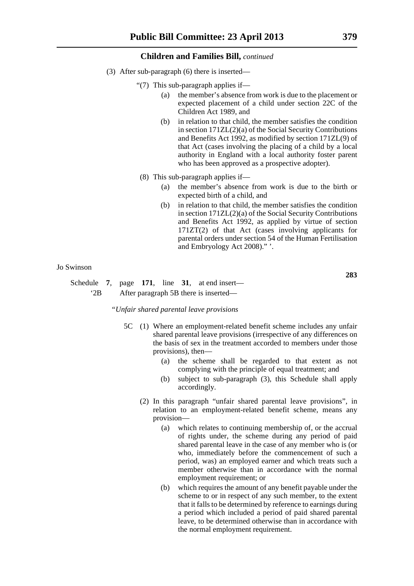- (3) After sub-paragraph (6) there is inserted—
	- "(7) This sub-paragraph applies if—
		- (a) the member's absence from work is due to the placement or expected placement of a child under section 22C of the Children Act 1989, and
		- (b) in relation to that child, the member satisfies the condition in section 171ZL(2)(a) of the Social Security Contributions and Benefits Act 1992, as modified by section 171ZL(9) of that Act (cases involving the placing of a child by a local authority in England with a local authority foster parent who has been approved as a prospective adopter).
	- (8) This sub-paragraph applies if—
		- (a) the member's absence from work is due to the birth or expected birth of a child, and
		- (b) in relation to that child, the member satisfies the condition in section 171ZL(2)(a) of the Social Security Contributions and Benefits Act 1992, as applied by virtue of section 171ZT(2) of that Act (cases involving applicants for parental orders under section 54 of the Human Fertilisation and Embryology Act 2008)." '.

#### Jo Swinson

Schedule **7**, page **171**, line **31**, at end insert— '2B After paragraph 5B there is inserted—

*"Unfair shared parental leave provisions*

- 5C (1) Where an employment-related benefit scheme includes any unfair shared parental leave provisions (irrespective of any differences on the basis of sex in the treatment accorded to members under those provisions), then—
	- (a) the scheme shall be regarded to that extent as not complying with the principle of equal treatment; and
	- (b) subject to sub-paragraph (3), this Schedule shall apply accordingly.
	- (2) In this paragraph "unfair shared parental leave provisions", in relation to an employment-related benefit scheme, means any provision—
		- (a) which relates to continuing membership of, or the accrual of rights under, the scheme during any period of paid shared parental leave in the case of any member who is (or who, immediately before the commencement of such a period, was) an employed earner and which treats such a member otherwise than in accordance with the normal employment requirement; or
		- (b) which requires the amount of any benefit payable under the scheme to or in respect of any such member, to the extent that it falls to be determined by reference to earnings during a period which included a period of paid shared parental leave, to be determined otherwise than in accordance with the normal employment requirement.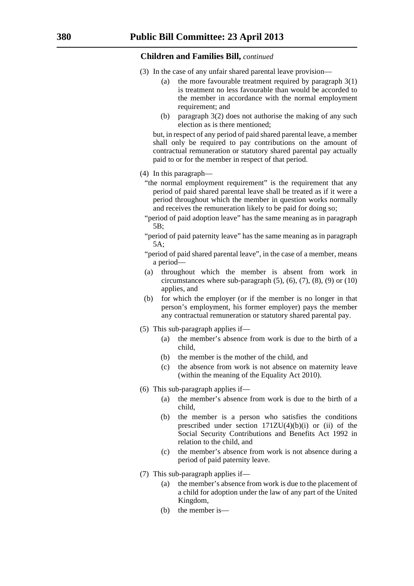- (3) In the case of any unfair shared parental leave provision—
	- (a) the more favourable treatment required by paragraph 3(1) is treatment no less favourable than would be accorded to the member in accordance with the normal employment requirement; and
	- (b) paragraph 3(2) does not authorise the making of any such election as is there mentioned;

but, in respect of any period of paid shared parental leave, a member shall only be required to pay contributions on the amount of contractual remuneration or statutory shared parental pay actually paid to or for the member in respect of that period.

- (4) In this paragraph—
	- "the normal employment requirement" is the requirement that any period of paid shared parental leave shall be treated as if it were a period throughout which the member in question works normally and receives the remuneration likely to be paid for doing so;
	- "period of paid adoption leave" has the same meaning as in paragraph 5B;
	- "period of paid paternity leave" has the same meaning as in paragraph 5A;
	- "period of paid shared parental leave", in the case of a member, means a period—
	- (a) throughout which the member is absent from work in circumstances where sub-paragraph  $(5)$ ,  $(6)$ ,  $(7)$ ,  $(8)$ ,  $(9)$  or  $(10)$ applies, and
	- (b) for which the employer (or if the member is no longer in that person's employment, his former employer) pays the member any contractual remuneration or statutory shared parental pay.
- (5) This sub-paragraph applies if—
	- (a) the member's absence from work is due to the birth of a child,
	- (b) the member is the mother of the child, and
	- (c) the absence from work is not absence on maternity leave (within the meaning of the Equality Act 2010).
- (6) This sub-paragraph applies if—
	- (a) the member's absence from work is due to the birth of a child,
	- (b) the member is a person who satisfies the conditions prescribed under section  $171ZU(4)(b)(i)$  or (ii) of the Social Security Contributions and Benefits Act 1992 in relation to the child, and
	- (c) the member's absence from work is not absence during a period of paid paternity leave.
- (7) This sub-paragraph applies if—
	- (a) the member's absence from work is due to the placement of a child for adoption under the law of any part of the United Kingdom,
	- (b) the member is—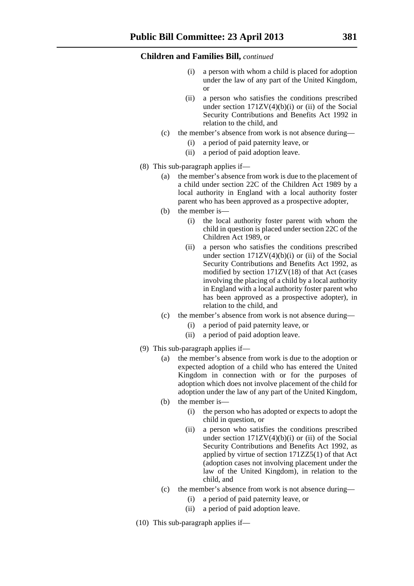- a person with whom a child is placed for adoption under the law of any part of the United Kingdom, or
- (ii) a person who satisfies the conditions prescribed under section  $171ZV(4)(b)(i)$  or (ii) of the Social Security Contributions and Benefits Act 1992 in relation to the child, and
- (c) the member's absence from work is not absence during—
	- (i) a period of paid paternity leave, or
	- (ii) a period of paid adoption leave.
- (8) This sub-paragraph applies if—
	- (a) the member's absence from work is due to the placement of a child under section 22C of the Children Act 1989 by a local authority in England with a local authority foster parent who has been approved as a prospective adopter,
	- (b) the member is—
		- (i) the local authority foster parent with whom the child in question is placed under section 22C of the Children Act 1989, or
		- (ii) a person who satisfies the conditions prescribed under section  $171ZV(4)(b)(i)$  or (ii) of the Social Security Contributions and Benefits Act 1992, as modified by section 171ZV(18) of that Act (cases involving the placing of a child by a local authority in England with a local authority foster parent who has been approved as a prospective adopter), in relation to the child, and
	- (c) the member's absence from work is not absence during—
		- (i) a period of paid paternity leave, or
		- (ii) a period of paid adoption leave.
- (9) This sub-paragraph applies if—
	- (a) the member's absence from work is due to the adoption or expected adoption of a child who has entered the United Kingdom in connection with or for the purposes of adoption which does not involve placement of the child for adoption under the law of any part of the United Kingdom,
	- (b) the member is—
		- (i) the person who has adopted or expects to adopt the child in question, or
		- (ii) a person who satisfies the conditions prescribed under section  $171ZV(4)(b)(i)$  or (ii) of the Social Security Contributions and Benefits Act 1992, as applied by virtue of section 171ZZ5(1) of that Act (adoption cases not involving placement under the law of the United Kingdom), in relation to the child, and
	- (c) the member's absence from work is not absence during—
		- (i) a period of paid paternity leave, or
		- (ii) a period of paid adoption leave.
- (10) This sub-paragraph applies if—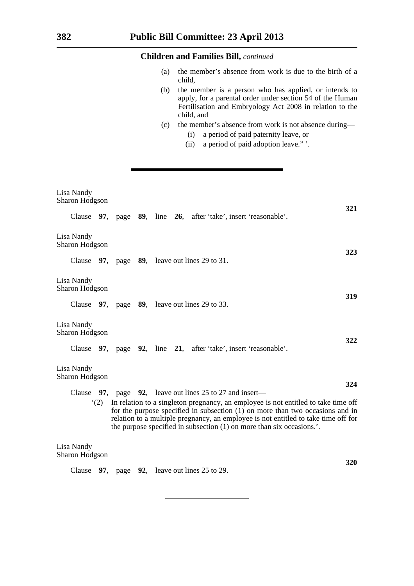- (a) the member's absence from work is due to the birth of a child,
- (b) the member is a person who has applied, or intends to apply, for a parental order under section 54 of the Human Fertilisation and Embryology Act 2008 in relation to the child, and
- (c) the member's absence from work is not absence during—
	- (i) a period of paid paternity leave, or
	- (ii) a period of paid adoption leave." '.

| Lisa Nandy<br>Sharon Hodgson |  |  |                                                                                                                                                                                                                                                                                                                                        |     |
|------------------------------|--|--|----------------------------------------------------------------------------------------------------------------------------------------------------------------------------------------------------------------------------------------------------------------------------------------------------------------------------------------|-----|
|                              |  |  | Clause 97, page 89, line 26, after 'take', insert 'reasonable'.                                                                                                                                                                                                                                                                        | 321 |
| Lisa Nandy<br>Sharon Hodgson |  |  |                                                                                                                                                                                                                                                                                                                                        | 323 |
|                              |  |  | Clause 97, page 89, leave out lines 29 to 31.                                                                                                                                                                                                                                                                                          |     |
| Lisa Nandy<br>Sharon Hodgson |  |  |                                                                                                                                                                                                                                                                                                                                        |     |
|                              |  |  | Clause 97, page 89, leave out lines 29 to 33.                                                                                                                                                                                                                                                                                          | 319 |
| Lisa Nandy<br>Sharon Hodgson |  |  |                                                                                                                                                                                                                                                                                                                                        | 322 |
|                              |  |  | Clause 97, page 92, line 21, after 'take', insert 'reasonable'.                                                                                                                                                                                                                                                                        |     |
| Lisa Nandy<br>Sharon Hodgson |  |  |                                                                                                                                                                                                                                                                                                                                        |     |
| Clause                       |  |  | 97, page 92, leave out lines 25 to 27 and insert—                                                                                                                                                                                                                                                                                      | 324 |
| (2)                          |  |  | In relation to a singleton pregnancy, an employee is not entitled to take time off<br>for the purpose specified in subsection $(1)$ on more than two occasions and in<br>relation to a multiple pregnancy, an employee is not entitled to take time off for<br>the purpose specified in subsection $(1)$ on more than six occasions.'. |     |
| Lisa Nandy<br>Sharon Hodgson |  |  |                                                                                                                                                                                                                                                                                                                                        |     |
| Clause                       |  |  | 97, page 92, leave out lines $25$ to $29$ .                                                                                                                                                                                                                                                                                            | 320 |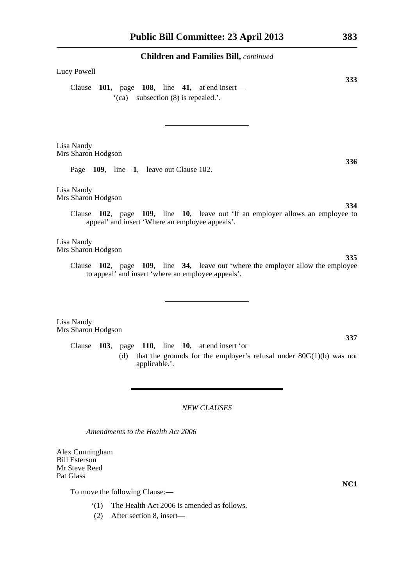# Lucy Powell

Clause **101**, page **108**, line **41**, at end insert— '(ca) subsection (8) is repealed.'.

Lisa Nandy Mrs Sharon Hodgson

Page **109**, line **1**, leave out Clause 102.

Lisa Nandy Mrs Sharon Hodgson

> Clause **102**, page **109**, line **10**, leave out 'If an employer allows an employee to appeal' and insert 'Where an employee appeals'.

Lisa Nandy Mrs Sharon Hodgson

> Clause **102**, page **109**, line **34**, leave out 'where the employer allow the employee to appeal' and insert 'where an employee appeals'.

Lisa Nandy Mrs Sharon Hodgson

> Clause **103**, page **110**, line **10**, at end insert 'or (d) that the grounds for the employer's refusal under  $80G(1)(b)$  was not applicable.'.

### *NEW CLAUSES*

*Amendments to the Health Act 2006*

Alex Cunningham Bill Esterson Mr Steve Reed Pat Glass

To move the following Clause:—

- '(1) The Health Act 2006 is amended as follows.
- (2) After section 8, insert—

**NC1**

**333**

**334**

**336**

**335**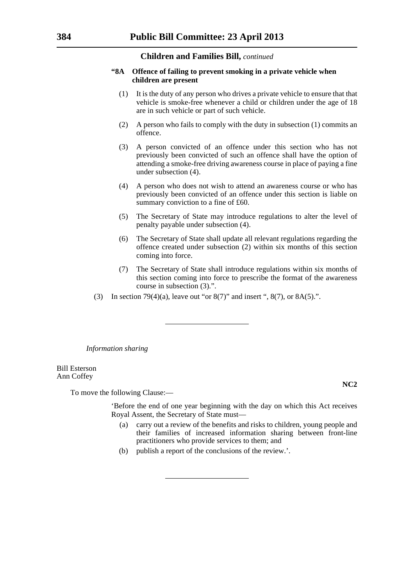#### **"8A Offence of failing to prevent smoking in a private vehicle when children are present**

- (1) It is the duty of any person who drives a private vehicle to ensure that that vehicle is smoke-free whenever a child or children under the age of 18 are in such vehicle or part of such vehicle.
- (2) A person who fails to comply with the duty in subsection (1) commits an offence.
- (3) A person convicted of an offence under this section who has not previously been convicted of such an offence shall have the option of attending a smoke-free driving awareness course in place of paying a fine under subsection (4).
- (4) A person who does not wish to attend an awareness course or who has previously been convicted of an offence under this section is liable on summary conviction to a fine of £60.
- (5) The Secretary of State may introduce regulations to alter the level of penalty payable under subsection (4).
- (6) The Secretary of State shall update all relevant regulations regarding the offence created under subsection (2) within six months of this section coming into force.
- (7) The Secretary of State shall introduce regulations within six months of this section coming into force to prescribe the format of the awareness course in subsection (3).".
- (3) In section 79(4)(a), leave out "or  $8(7)$ " and insert ",  $8(7)$ , or  $8A(5)$ .".

*Information sharing*

Bill Esterson Ann Coffey

To move the following Clause:—

'Before the end of one year beginning with the day on which this Act receives Royal Assent, the Secretary of State must—

- (a) carry out a review of the benefits and risks to children, young people and their families of increased information sharing between front-line practitioners who provide services to them; and
- (b) publish a report of the conclusions of the review.'.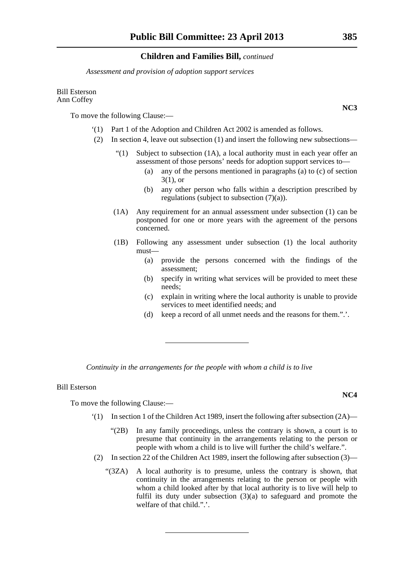*Assessment and provision of adoption support services*

#### Bill Esterson Ann Coffey

To move the following Clause:—

- '(1) Part 1 of the Adoption and Children Act 2002 is amended as follows.
- (2) In section 4, leave out subsection (1) and insert the following new subsections—
	- "(1) Subject to subsection  $(1A)$ , a local authority must in each year offer an assessment of those persons' needs for adoption support services to—
		- (a) any of the persons mentioned in paragraphs (a) to (c) of section 3(1), or
		- (b) any other person who falls within a description prescribed by regulations (subject to subsection (7)(a)).
	- (1A) Any requirement for an annual assessment under subsection (1) can be postponed for one or more years with the agreement of the persons concerned.
	- (1B) Following any assessment under subsection (1) the local authority must—
		- (a) provide the persons concerned with the findings of the assessment;
		- (b) specify in writing what services will be provided to meet these needs;
		- (c) explain in writing where the local authority is unable to provide services to meet identified needs; and
		- (d) keep a record of all unmet needs and the reasons for them.".'.

*Continuity in the arrangements for the people with whom a child is to live*

#### Bill Esterson

To move the following Clause:—

- $(1)$  In section 1 of the Children Act 1989, insert the following after subsection  $(2A)$ 
	- "(2B) In any family proceedings, unless the contrary is shown, a court is to presume that continuity in the arrangements relating to the person or people with whom a child is to live will further the child's welfare.".
- (2) In section 22 of the Children Act 1989, insert the following after subsection (3)—
	- "(3ZA) A local authority is to presume, unless the contrary is shown, that continuity in the arrangements relating to the person or people with whom a child looked after by that local authority is to live will help to fulfil its duty under subsection (3)(a) to safeguard and promote the welfare of that child.".'.

**NC3**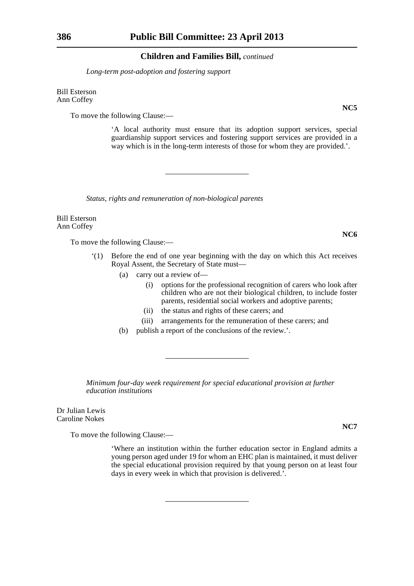*Long-term post-adoption and fostering support*

Bill Esterson Ann Coffey

To move the following Clause:—

'A local authority must ensure that its adoption support services, special guardianship support services and fostering support services are provided in a way which is in the long-term interests of those for whom they are provided.'.

*Status, rights and remuneration of non-biological parents*

Bill Esterson Ann Coffey

To move the following Clause:—

- '(1) Before the end of one year beginning with the day on which this Act receives Royal Assent, the Secretary of State must—
	- (a) carry out a review of—
		- (i) options for the professional recognition of carers who look after children who are not their biological children, to include foster parents, residential social workers and adoptive parents;
		- (ii) the status and rights of these carers; and
		- (iii) arrangements for the remuneration of these carers; and
	- (b) publish a report of the conclusions of the review.'.

*Minimum four-day week requirement for special educational provision at further education institutions*

Dr Julian Lewis Caroline Nokes

To move the following Clause:—

'Where an institution within the further education sector in England admits a young person aged under 19 for whom an EHC plan is maintained, it must deliver the special educational provision required by that young person on at least four days in every week in which that provision is delivered.'.

**NC5**

**NC6**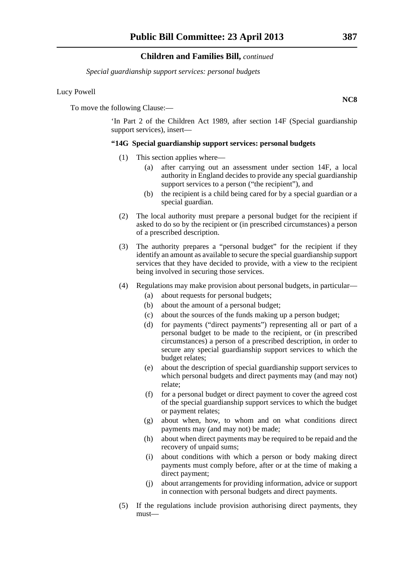*Special guardianship support services: personal budgets*

#### Lucy Powell

To move the following Clause:—

'In Part 2 of the Children Act 1989, after section 14F (Special guardianship support services), insert—

#### **"14G Special guardianship support services: personal budgets**

- (1) This section applies where—
	- (a) after carrying out an assessment under section 14F, a local authority in England decides to provide any special guardianship support services to a person ("the recipient"), and
	- (b) the recipient is a child being cared for by a special guardian or a special guardian.
- (2) The local authority must prepare a personal budget for the recipient if asked to do so by the recipient or (in prescribed circumstances) a person of a prescribed description.
- (3) The authority prepares a "personal budget" for the recipient if they identify an amount as available to secure the special guardianship support services that they have decided to provide, with a view to the recipient being involved in securing those services.
- (4) Regulations may make provision about personal budgets, in particular—
	- (a) about requests for personal budgets;
	- (b) about the amount of a personal budget;
	- (c) about the sources of the funds making up a person budget;
	- (d) for payments ("direct payments") representing all or part of a personal budget to be made to the recipient, or (in prescribed circumstances) a person of a prescribed description, in order to secure any special guardianship support services to which the budget relates;
	- (e) about the description of special guardianship support services to which personal budgets and direct payments may (and may not) relate;
	- (f) for a personal budget or direct payment to cover the agreed cost of the special guardianship support services to which the budget or payment relates;
	- (g) about when, how, to whom and on what conditions direct payments may (and may not) be made;
	- (h) about when direct payments may be required to be repaid and the recovery of unpaid sums;
	- (i) about conditions with which a person or body making direct payments must comply before, after or at the time of making a direct payment;
	- (j) about arrangements for providing information, advice or support in connection with personal budgets and direct payments.
- (5) If the regulations include provision authorising direct payments, they must—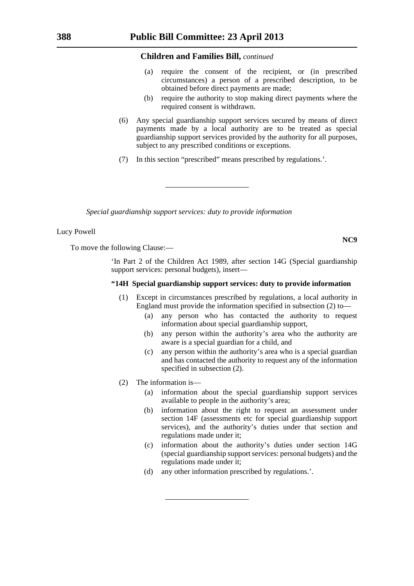- (a) require the consent of the recipient, or (in prescribed circumstances) a person of a prescribed description, to be obtained before direct payments are made;
- (b) require the authority to stop making direct payments where the required consent is withdrawn.
- (6) Any special guardianship support services secured by means of direct payments made by a local authority are to be treated as special guardianship support services provided by the authority for all purposes, subject to any prescribed conditions or exceptions.
- (7) In this section "prescribed" means prescribed by regulations.'.

*Special guardianship support services: duty to provide information*

#### Lucy Powell

To move the following Clause:—

'In Part 2 of the Children Act 1989, after section 14G (Special guardianship support services: personal budgets), insert—

#### **"14H Special guardianship support services: duty to provide information**

- (1) Except in circumstances prescribed by regulations, a local authority in England must provide the information specified in subsection (2) to—
	- (a) any person who has contacted the authority to request information about special guardianship support,
	- (b) any person within the authority's area who the authority are aware is a special guardian for a child, and
	- (c) any person within the authority's area who is a special guardian and has contacted the authority to request any of the information specified in subsection (2).
- (2) The information is—
	- (a) information about the special guardianship support services available to people in the authority's area;
	- (b) information about the right to request an assessment under section 14F (assessments etc for special guardianship support services), and the authority's duties under that section and regulations made under it;
	- (c) information about the authority's duties under section 14G (special guardianship support services: personal budgets) and the regulations made under it;
	- (d) any other information prescribed by regulations.'.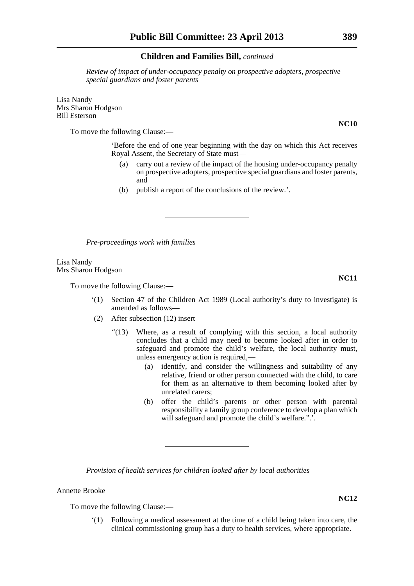*Review of impact of under-occupancy penalty on prospective adopters, prospective special guardians and foster parents*

Lisa Nandy Mrs Sharon Hodgson Bill Esterson

To move the following Clause:—

'Before the end of one year beginning with the day on which this Act receives Royal Assent, the Secretary of State must—

- (a) carry out a review of the impact of the housing under-occupancy penalty on prospective adopters, prospective special guardians and foster parents, and
- (b) publish a report of the conclusions of the review.'.

*Pre-proceedings work with families*

Lisa Nandy Mrs Sharon Hodgson

To move the following Clause:—

- '(1) Section 47 of the Children Act 1989 (Local authority's duty to investigate) is amended as follows—
- (2) After subsection (12) insert—
	- "(13) Where, as a result of complying with this section, a local authority concludes that a child may need to become looked after in order to safeguard and promote the child's welfare, the local authority must, unless emergency action is required,—
		- (a) identify, and consider the willingness and suitability of any relative, friend or other person connected with the child, to care for them as an alternative to them becoming looked after by unrelated carers;
		- (b) offer the child's parents or other person with parental responsibility a family group conference to develop a plan which will safeguard and promote the child's welfare.".'.

*Provision of health services for children looked after by local authorities*

Annette Brooke

To move the following Clause:—

'(1) Following a medical assessment at the time of a child being taken into care, the clinical commissioning group has a duty to health services, where appropriate.

**NC10**

**NC11**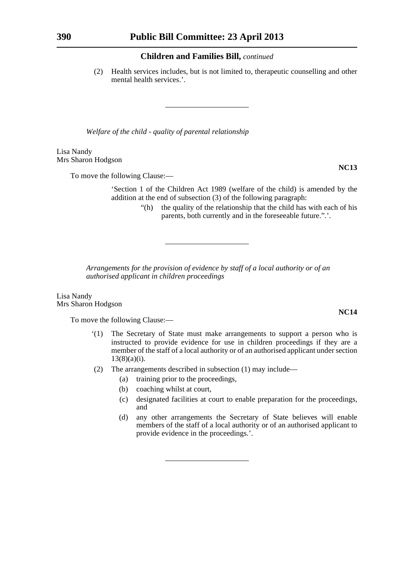(2) Health services includes, but is not limited to, therapeutic counselling and other mental health services.'.

*Welfare of the child - quality of parental relationship*

Lisa Nandy Mrs Sharon Hodgson

To move the following Clause:—

'Section 1 of the Children Act 1989 (welfare of the child) is amended by the addition at the end of subsection (3) of the following paragraph:

> "(h) the quality of the relationship that the child has with each of his parents, both currently and in the foreseeable future.".'.

*Arrangements for the provision of evidence by staff of a local authority or of an authorised applicant in children proceedings*

Lisa Nandy Mrs Sharon Hodgson

To move the following Clause:—

- '(1) The Secretary of State must make arrangements to support a person who is instructed to provide evidence for use in children proceedings if they are a member of the staff of a local authority or of an authorised applicant under section  $13(8)(a)(i)$ .
- (2) The arrangements described in subsection (1) may include—
	- (a) training prior to the proceedings,
	- (b) coaching whilst at court,
	- (c) designated facilities at court to enable preparation for the proceedings, and
	- (d) any other arrangements the Secretary of State believes will enable members of the staff of a local authority or of an authorised applicant to provide evidence in the proceedings.'.

**NC14**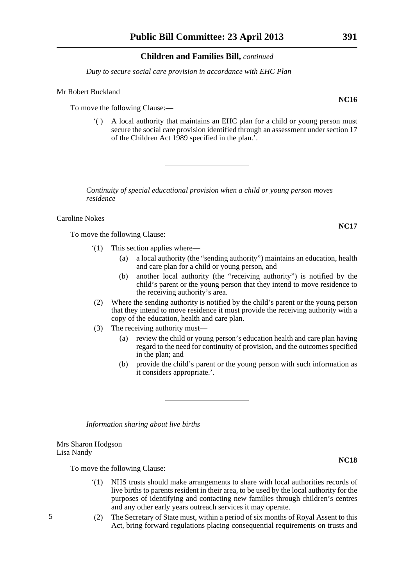*Duty to secure social care provision in accordance with EHC Plan*

#### Mr Robert Buckland

To move the following Clause:—

'( ) A local authority that maintains an EHC plan for a child or young person must secure the social care provision identified through an assessment under section 17 of the Children Act 1989 specified in the plan.'.

*Continuity of special educational provision when a child or young person moves residence*

Caroline Nokes

To move the following Clause:—

- '(1) This section applies where—
	- (a) a local authority (the "sending authority") maintains an education, health and care plan for a child or young person, and
	- (b) another local authority (the "receiving authority") is notified by the child's parent or the young person that they intend to move residence to the receiving authority's area.
- (2) Where the sending authority is notified by the child's parent or the young person that they intend to move residence it must provide the receiving authority with a copy of the education, health and care plan.
- (3) The receiving authority must—
	- (a) review the child or young person's education health and care plan having regard to the need for continuity of provision, and the outcomes specified in the plan; and
	- (b) provide the child's parent or the young person with such information as it considers appropriate.'.

*Information sharing about live births*

#### Mrs Sharon Hodgson Lisa Nandy

To move the following Clause:—

- '(1) NHS trusts should make arrangements to share with local authorities records of live births to parents resident in their area, to be used by the local authority for the purposes of identifying and contacting new families through children's centres and any other early years outreach services it may operate.
- (2) The Secretary of State must, within a period of six months of Royal Assent to this Act, bring forward regulations placing consequential requirements on trusts and

5

**NC17**

**NC18**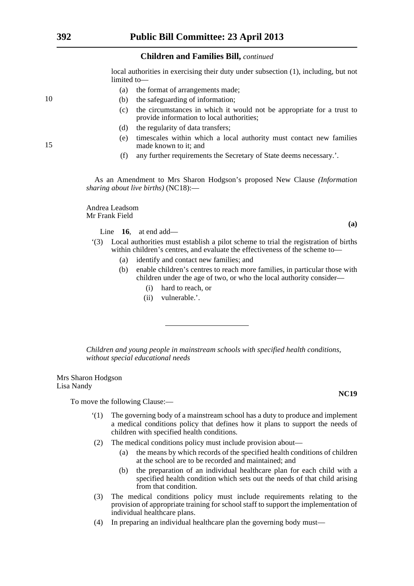local authorities in exercising their duty under subsection (1), including, but not limited to—

- (a) the format of arrangements made;
- (b) the safeguarding of information;
- (c) the circumstances in which it would not be appropriate for a trust to provide information to local authorities;
- (d) the regularity of data transfers;
- (e) timescales within which a local authority must contact new families made known to it; and
- (f) any further requirements the Secretary of State deems necessary.'.

As an Amendment to Mrs Sharon Hodgson's proposed New Clause *(Information sharing about live births)* (NC18):—

Andrea Leadsom Mr Frank Field

Line **16**, at end add—

- '(3) Local authorities must establish a pilot scheme to trial the registration of births within children's centres, and evaluate the effectiveness of the scheme to—
	- (a) identify and contact new families; and
	- (b) enable children's centres to reach more families, in particular those with children under the age of two, or who the local authority consider—
		- (i) hard to reach, or
		- (ii) vulnerable.'.

*Children and young people in mainstream schools with specified health conditions, without special educational needs*

Mrs Sharon Hodgson Lisa Nandy

To move the following Clause:—

- '(1) The governing body of a mainstream school has a duty to produce and implement a medical conditions policy that defines how it plans to support the needs of children with specified health conditions.
- (2) The medical conditions policy must include provision about—
	- (a) the means by which records of the specified health conditions of children at the school are to be recorded and maintained; and
	- (b) the preparation of an individual healthcare plan for each child with a specified health condition which sets out the needs of that child arising from that condition.
- (3) The medical conditions policy must include requirements relating to the provision of appropriate training for school staff to support the implementation of individual healthcare plans.
- (4) In preparing an individual healthcare plan the governing body must—

10

15

**(a)**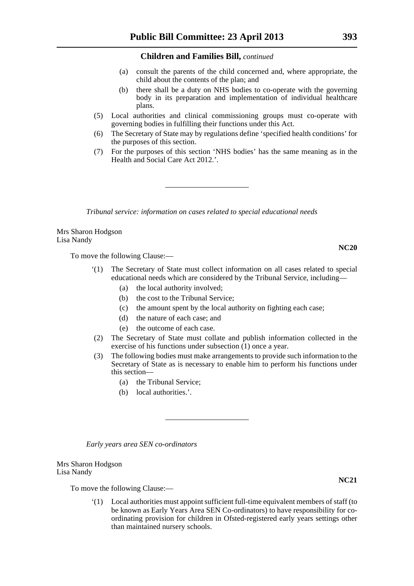- (a) consult the parents of the child concerned and, where appropriate, the child about the contents of the plan; and
- (b) there shall be a duty on NHS bodies to co-operate with the governing body in its preparation and implementation of individual healthcare plans.
- (5) Local authorities and clinical commissioning groups must co-operate with governing bodies in fulfilling their functions under this Act.
- (6) The Secretary of State may by regulations define 'specified health conditions' for the purposes of this section.
- (7) For the purposes of this section 'NHS bodies' has the same meaning as in the Health and Social Care Act 2012.'.

*Tribunal service: information on cases related to special educational needs*

Mrs Sharon Hodgson Lisa Nandy

To move the following Clause:—

- The Secretary of State must collect information on all cases related to special educational needs which are considered by the Tribunal Service, including—
	- (a) the local authority involved;
	- (b) the cost to the Tribunal Service;
	- (c) the amount spent by the local authority on fighting each case;
	- (d) the nature of each case; and
	- (e) the outcome of each case.
- (2) The Secretary of State must collate and publish information collected in the exercise of his functions under subsection (1) once a year.
- (3) The following bodies must make arrangements to provide such information to the Secretary of State as is necessary to enable him to perform his functions under this section—
	- (a) the Tribunal Service;
	- (b) local authorities.'.

*Early years area SEN co-ordinators*

Mrs Sharon Hodgson Lisa Nandy

To move the following Clause:—

'(1) Local authorities must appoint sufficient full-time equivalent members of staff (to be known as Early Years Area SEN Co-ordinators) to have responsibility for coordinating provision for children in Ofsted-registered early years settings other than maintained nursery schools.

**NC20**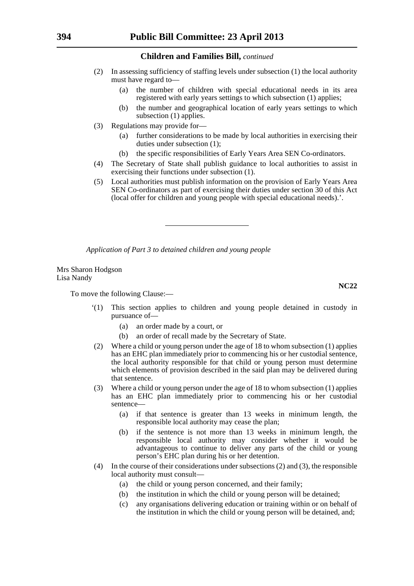- (2) In assessing sufficiency of staffing levels under subsection (1) the local authority must have regard to—
	- (a) the number of children with special educational needs in its area registered with early years settings to which subsection (1) applies;
	- (b) the number and geographical location of early years settings to which subsection (1) applies.
- (3) Regulations may provide for—
	- (a) further considerations to be made by local authorities in exercising their duties under subsection (1);
	- (b) the specific responsibilities of Early Years Area SEN Co-ordinators.
- (4) The Secretary of State shall publish guidance to local authorities to assist in exercising their functions under subsection (1).
- (5) Local authorities must publish information on the provision of Early Years Area SEN Co-ordinators as part of exercising their duties under section 30 of this Act (local offer for children and young people with special educational needs).'.

*Application of Part 3 to detained children and young people*

Mrs Sharon Hodgson Lisa Nandy

To move the following Clause:—

- '(1) This section applies to children and young people detained in custody in pursuance of—
	- (a) an order made by a court, or
	- (b) an order of recall made by the Secretary of State.
- (2) Where a child or young person under the age of 18 to whom subsection (1) applies has an EHC plan immediately prior to commencing his or her custodial sentence, the local authority responsible for that child or young person must determine which elements of provision described in the said plan may be delivered during that sentence.
- (3) Where a child or young person under the age of 18 to whom subsection (1) applies has an EHC plan immediately prior to commencing his or her custodial sentence—
	- (a) if that sentence is greater than 13 weeks in minimum length, the responsible local authority may cease the plan;
	- (b) if the sentence is not more than 13 weeks in minimum length, the responsible local authority may consider whether it would be advantageous to continue to deliver any parts of the child or young person's EHC plan during his or her detention.
- (4) In the course of their considerations under subsections (2) and (3), the responsible local authority must consult—
	- (a) the child or young person concerned, and their family;
	- (b) the institution in which the child or young person will be detained;
	- (c) any organisations delivering education or training within or on behalf of the institution in which the child or young person will be detained, and;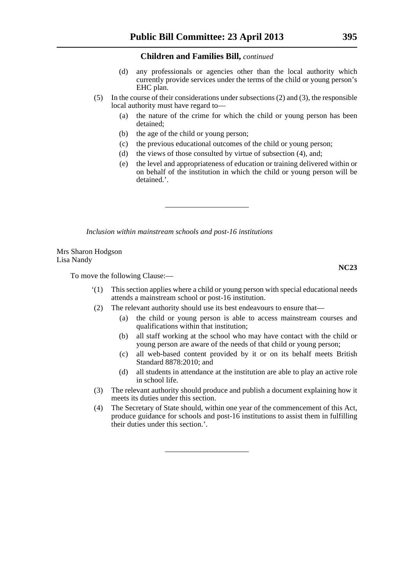- (d) any professionals or agencies other than the local authority which currently provide services under the terms of the child or young person's EHC plan.
- (5) In the course of their considerations under subsections (2) and (3), the responsible local authority must have regard to—
	- (a) the nature of the crime for which the child or young person has been detained;
	- (b) the age of the child or young person;
	- (c) the previous educational outcomes of the child or young person;
	- (d) the views of those consulted by virtue of subsection (4), and;
	- (e) the level and appropriateness of education or training delivered within or on behalf of the institution in which the child or young person will be detained.'.

*Inclusion within mainstream schools and post-16 institutions*

Mrs Sharon Hodgson Lisa Nandy

To move the following Clause:—

- '(1) This section applies where a child or young person with special educational needs attends a mainstream school or post-16 institution.
- (2) The relevant authority should use its best endeavours to ensure that—
	- (a) the child or young person is able to access mainstream courses and qualifications within that institution;
	- (b) all staff working at the school who may have contact with the child or young person are aware of the needs of that child or young person;
	- (c) all web-based content provided by it or on its behalf meets British Standard 8878:2010; and
	- (d) all students in attendance at the institution are able to play an active role in school life.
- (3) The relevant authority should produce and publish a document explaining how it meets its duties under this section.
- (4) The Secretary of State should, within one year of the commencement of this Act, produce guidance for schools and post-16 institutions to assist them in fulfilling their duties under this section.'.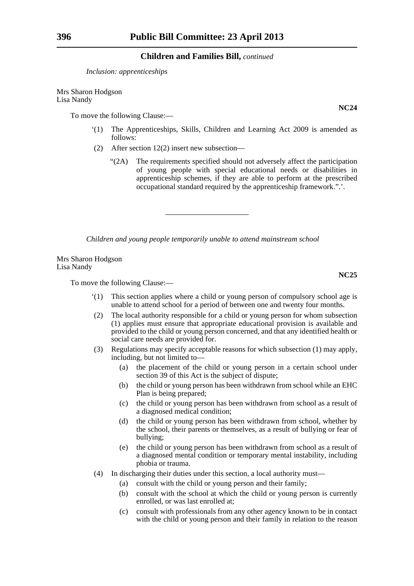*Inclusion: apprenticeships*

Mrs Sharon Hodgson Lisa Nandy

To move the following Clause:—

- '(1) The Apprenticeships, Skills, Children and Learning Act 2009 is amended as follows:
- (2) After section 12(2) insert new subsection—
	- "(2A) The requirements specified should not adversely affect the participation of young people with special educational needs or disabilities in apprenticeship schemes, if they are able to perform at the prescribed occupational standard required by the apprenticeship framework.".'.

*Children and young people temporarily unable to attend mainstream school*

Mrs Sharon Hodgson Lisa Nandy

To move the following Clause:—

- '(1) This section applies where a child or young person of compulsory school age is unable to attend school for a period of between one and twenty four months.
- (2) The local authority responsible for a child or young person for whom subsection (1) applies must ensure that appropriate educational provision is available and provided to the child or young person concerned, and that any identified health or social care needs are provided for.
- (3) Regulations may specify acceptable reasons for which subsection (1) may apply, including, but not limited to—
	- (a) the placement of the child or young person in a certain school under section 39 of this Act is the subject of dispute;
	- (b) the child or young person has been withdrawn from school while an EHC Plan is being prepared;
	- (c) the child or young person has been withdrawn from school as a result of a diagnosed medical condition;
	- (d) the child or young person has been withdrawn from school, whether by the school, their parents or themselves, as a result of bullying or fear of bullying;
	- (e) the child or young person has been withdrawn from school as a result of a diagnosed mental condition or temporary mental instability, including phobia or trauma.
- (4) In discharging their duties under this section, a local authority must—
	- (a) consult with the child or young person and their family;
	- (b) consult with the school at which the child or young person is currently enrolled, or was last enrolled at;
	- (c) consult with professionals from any other agency known to be in contact with the child or young person and their family in relation to the reason

**NC24**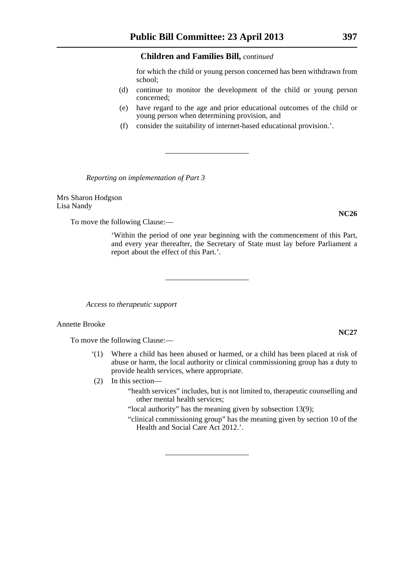for which the child or young person concerned has been withdrawn from school;

- (d) continue to monitor the development of the child or young person concerned;
- (e) have regard to the age and prior educational outcomes of the child or young person when determining provision, and
- (f) consider the suitability of internet-based educational provision.'.

*Reporting on implementation of Part 3*

Mrs Sharon Hodgson Lisa Nandy

To move the following Clause:—

'Within the period of one year beginning with the commencement of this Part, and every year thereafter, the Secretary of State must lay before Parliament a report about the effect of this Part.'.

*Access to therapeutic support*

#### Annette Brooke

To move the following Clause:—

- '(1) Where a child has been abused or harmed, or a child has been placed at risk of abuse or harm, the local authority or clinical commissioning group has a duty to provide health services, where appropriate.
- (2) In this section—
	- "health services" includes, but is not limited to, therapeutic counselling and other mental health services;

"local authority" has the meaning given by subsection 13(9);

"clinical commissioning group" has the meaning given by section 10 of the Health and Social Care Act 2012.'.

### **NC27**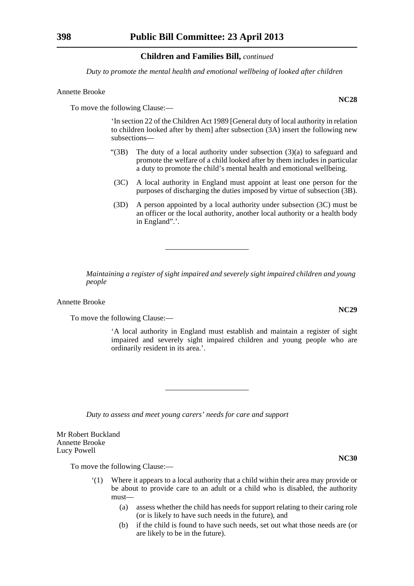*Duty to promote the mental health and emotional wellbeing of looked after children*

#### Annette Brooke

To move the following Clause:—

'In section 22 of the Children Act 1989 [General duty of local authority in relation to children looked after by them] after subsection (3A) insert the following new subsections—

- " $(3B)$  The duty of a local authority under subsection  $(3)(a)$  to safeguard and promote the welfare of a child looked after by them includes in particular a duty to promote the child's mental health and emotional wellbeing.
- (3C) A local authority in England must appoint at least one person for the purposes of discharging the duties imposed by virtue of subsection (3B).
- (3D) A person appointed by a local authority under subsection (3C) must be an officer or the local authority, another local authority or a health body in England".'.

*Maintaining a register of sight impaired and severely sight impaired children and young people*

Annette Brooke

To move the following Clause:—

'A local authority in England must establish and maintain a register of sight impaired and severely sight impaired children and young people who are ordinarily resident in its area.'.

*Duty to assess and meet young carers' needs for care and support*

Mr Robert Buckland Annette Brooke Lucy Powell

To move the following Clause:—

- Where it appears to a local authority that a child within their area may provide or be about to provide care to an adult or a child who is disabled, the authority must—
	- (a) assess whether the child has needs for support relating to their caring role (or is likely to have such needs in the future), and
	- (b) if the child is found to have such needs, set out what those needs are (or are likely to be in the future).

**NC28**

**NC29**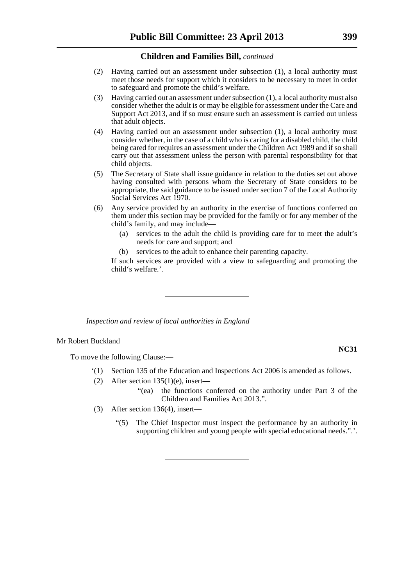- (2) Having carried out an assessment under subsection (1), a local authority must meet those needs for support which it considers to be necessary to meet in order to safeguard and promote the child's welfare.
- (3) Having carried out an assessment under subsection (1), a local authority must also consider whether the adult is or may be eligible for assessment under the Care and Support Act 2013, and if so must ensure such an assessment is carried out unless that adult objects.
- (4) Having carried out an assessment under subsection (1), a local authority must consider whether, in the case of a child who is caring for a disabled child, the child being cared for requires an assessment under the Children Act 1989 and if so shall carry out that assessment unless the person with parental responsibility for that child objects.
- (5) The Secretary of State shall issue guidance in relation to the duties set out above having consulted with persons whom the Secretary of State considers to be appropriate, the said guidance to be issued under section 7 of the Local Authority Social Services Act 1970.
- (6) Any service provided by an authority in the exercise of functions conferred on them under this section may be provided for the family or for any member of the child's family, and may include—
	- (a) services to the adult the child is providing care for to meet the adult's needs for care and support; and
	- (b) services to the adult to enhance their parenting capacity.

If such services are provided with a view to safeguarding and promoting the child's welfare.'.

*Inspection and review of local authorities in England*

#### Mr Robert Buckland

To move the following Clause:—

- '(1) Section 135 of the Education and Inspections Act 2006 is amended as follows.
- (2) After section  $135(1)(e)$ , insert—
	- "(ea) the functions conferred on the authority under Part 3 of the Children and Families Act 2013.".
- (3) After section 136(4), insert—
	- "(5) The Chief Inspector must inspect the performance by an authority in supporting children and young people with special educational needs.".'.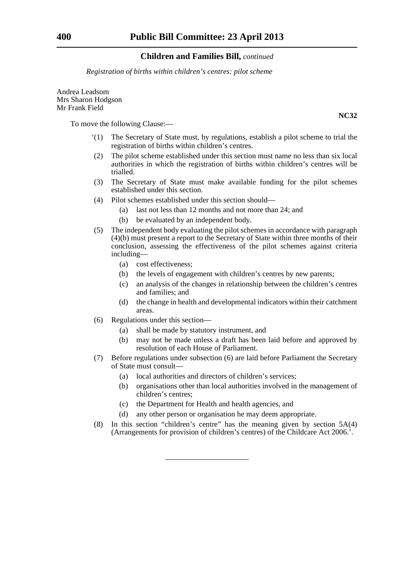*Registration of births within children's centres: pilot scheme*

Andrea Leadsom Mrs Sharon Hodgson Mr Frank Field

To move the following Clause:—

- '(1) The Secretary of State must, by regulations, establish a pilot scheme to trial the registration of births within children's centres.
- (2) The pilot scheme established under this section must name no less than six local authorities in which the registration of births within children's centres will be trialled.
- (3) The Secretary of State must make available funding for the pilot schemes established under this section.
- (4) Pilot schemes established under this section should—
	- (a) last not less than 12 months and not more than 24; and
	- (b) be evaluated by an independent body.
- (5) The independent body evaluating the pilot schemes in accordance with paragraph (4)(b) must present a report to the Secretary of State within three months of their conclusion, assessing the effectiveness of the pilot schemes against criteria including—
	- (a) cost effectiveness;
	- (b) the levels of engagement with children's centres by new parents;
	- (c) an analysis of the changes in relationship between the children's centres and families; and
	- (d) the change in health and developmental indicators within their catchment areas.
- (6) Regulations under this section—
	- (a) shall be made by statutory instrument, and
	- (b) may not be made unless a draft has been laid before and approved by resolution of each House of Parliament.
- (7) Before regulations under subsection (6) are laid before Parliament the Secretary of State must consult—
	- (a) local authorities and directors of children's services;
	- (b) organisations other than local authorities involved in the management of children's centres;
	- (c) the Department for Health and health agencies, and
	- (d) any other person or organisation he may deem appropriate.
- (8) In this section "children's centre" has the meaning given by section 5A(4) (Arrangements for provision of children's centres) of the Childcare Act 2006.'.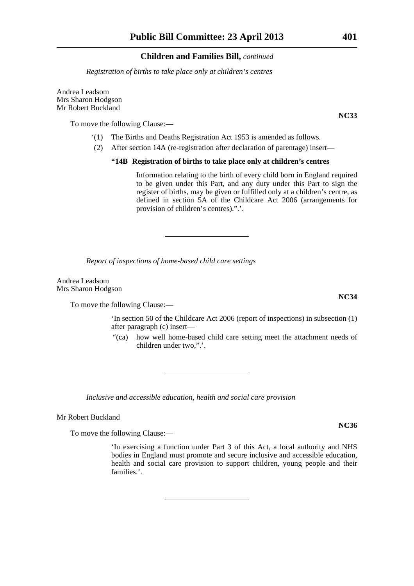*Registration of births to take place only at children's centres*

Andrea Leadsom Mrs Sharon Hodgson Mr Robert Buckland

To move the following Clause:—

- '(1) The Births and Deaths Registration Act 1953 is amended as follows.
- (2) After section 14A (re-registration after declaration of parentage) insert—

### **"14B Registration of births to take place only at children's centres**

Information relating to the birth of every child born in England required to be given under this Part, and any duty under this Part to sign the register of births, may be given or fulfilled only at a children's centre, as defined in section 5A of the Childcare Act 2006 (arrangements for provision of children's centres).".'.

*Report of inspections of home-based child care settings*

Andrea Leadsom Mrs Sharon Hodgson

To move the following Clause:—

'In section 50 of the Childcare Act 2006 (report of inspections) in subsection (1) after paragraph (c) insert—

"(ca) how well home-based child care setting meet the attachment needs of children under two,".'.

*Inclusive and accessible education, health and social care provision*

Mr Robert Buckland

To move the following Clause:—

'In exercising a function under Part 3 of this Act, a local authority and NHS bodies in England must promote and secure inclusive and accessible education, health and social care provision to support children, young people and their families.'.

**NC36**

**NC34**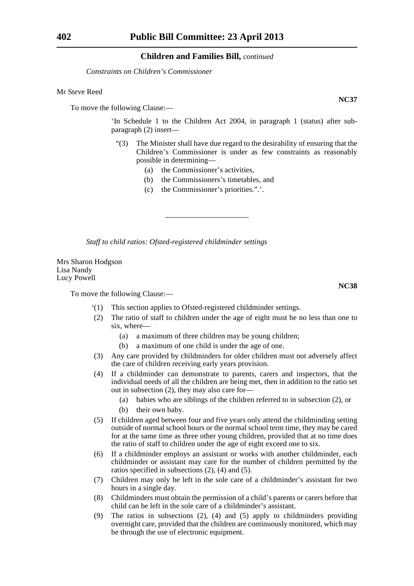*Constraints on Children's Commissioner*

#### Mr Steve Reed

To move the following Clause:—

'In Schedule 1 to the Children Act 2004, in paragraph 1 (status) after subparagraph (2) insert—

- "(3) The Minister shall have due regard to the desirability of ensuring that the Children's Commissioner is under as few constraints as reasonably possible in determining—
	- (a) the Commissioner's activities,
	- (b) the Commissioners's timetables, and
	- (c) the Commissioner's priorities.".'.

*Staff to child ratios: Ofsted-registered childminder settings*

Mrs Sharon Hodgson Lisa Nandy Lucy Powell

To move the following Clause:—

- '(1) This section applies to Ofsted-registered childminder settings.
- (2) The ratio of staff to children under the age of eight must be no less than one to six, where—
	- (a) a maximum of three children may be young children;
	- (b) a maximum of one child is under the age of one.
- (3) Any care provided by childminders for older children must not adversely affect the care of children receiving early years provision.
- (4) If a childminder can demonstrate to parents, carers and inspectors, that the individual needs of all the children are being met, then in addition to the ratio set out in subsection (2), they may also care for—
	- (a) babies who are siblings of the children referred to in subsection (2), or
	- (b) their own baby.
- (5) If children aged between four and five years only attend the childminding setting outside of normal school hours or the normal school term time, they may be cared for at the same time as three other young children, provided that at no time does the ratio of staff to children under the age of eight exceed one to six.
- (6) If a childminder employs an assistant or works with another childminder, each childminder or assistant may care for the number of children permitted by the ratios specified in subsections (2), (4) and (5).
- (7) Children may only be left in the sole care of a childminder's assistant for two hours in a single day.
- (8) Childminders must obtain the permission of a child's parents or carers before that child can be left in the sole care of a childminder's assistant.
- (9) The ratios in subsections (2), (4) and (5) apply to childminders providing overnight care, provided that the children are continuously monitored, which may be through the use of electronic equipment.

**NC37**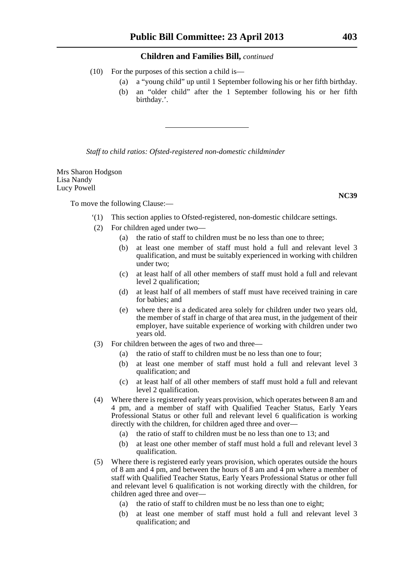- (10) For the purposes of this section a child is—
	- (a) a "young child" up until 1 September following his or her fifth birthday.
	- (b) an "older child" after the 1 September following his or her fifth birthday.'.

*Staff to child ratios: Ofsted-registered non-domestic childminder*

Mrs Sharon Hodgson Lisa Nandy Lucy Powell

To move the following Clause:—

- '(1) This section applies to Ofsted-registered, non-domestic childcare settings.
- (2) For children aged under two—
	- (a) the ratio of staff to children must be no less than one to three;
	- (b) at least one member of staff must hold a full and relevant level 3 qualification, and must be suitably experienced in working with children under two;
	- (c) at least half of all other members of staff must hold a full and relevant level 2 qualification;
	- (d) at least half of all members of staff must have received training in care for babies; and
	- (e) where there is a dedicated area solely for children under two years old, the member of staff in charge of that area must, in the judgement of their employer, have suitable experience of working with children under two years old.
- (3) For children between the ages of two and three—
	- (a) the ratio of staff to children must be no less than one to four;
	- (b) at least one member of staff must hold a full and relevant level 3 qualification; and
	- (c) at least half of all other members of staff must hold a full and relevant level 2 qualification.
- (4) Where there is registered early years provision, which operates between 8 am and 4 pm, and a member of staff with Qualified Teacher Status, Early Years Professional Status or other full and relevant level 6 qualification is working directly with the children, for children aged three and over—
	- (a) the ratio of staff to children must be no less than one to 13; and
	- (b) at least one other member of staff must hold a full and relevant level 3 qualification.
- (5) Where there is registered early years provision, which operates outside the hours of 8 am and 4 pm, and between the hours of 8 am and  $\overline{4}$  pm where a member of staff with Qualified Teacher Status, Early Years Professional Status or other full and relevant level 6 qualification is not working directly with the children, for children aged three and over—
	- (a) the ratio of staff to children must be no less than one to eight;
	- (b) at least one member of staff must hold a full and relevant level 3 qualification; and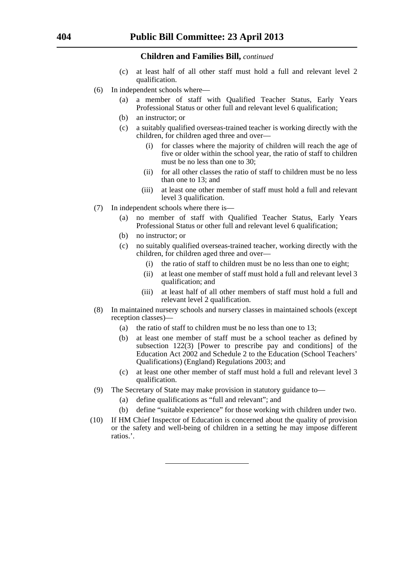- (c) at least half of all other staff must hold a full and relevant level 2 qualification.
- (6) In independent schools where—
	- (a) a member of staff with Qualified Teacher Status, Early Years Professional Status or other full and relevant level 6 qualification;
	- (b) an instructor; or
	- (c) a suitably qualified overseas-trained teacher is working directly with the children, for children aged three and over—
		- (i) for classes where the majority of children will reach the age of five or older within the school year, the ratio of staff to children must be no less than one to 30;
		- (ii) for all other classes the ratio of staff to children must be no less than one to 13; and
		- (iii) at least one other member of staff must hold a full and relevant level 3 qualification.
- (7) In independent schools where there is—
	- (a) no member of staff with Qualified Teacher Status, Early Years Professional Status or other full and relevant level 6 qualification;
	- (b) no instructor; or
	- (c) no suitably qualified overseas-trained teacher, working directly with the children, for children aged three and over—
		- (i) the ratio of staff to children must be no less than one to eight;
		- (ii) at least one member of staff must hold a full and relevant level 3 qualification; and
		- (iii) at least half of all other members of staff must hold a full and relevant level 2 qualification.
- (8) In maintained nursery schools and nursery classes in maintained schools (except reception classes)—
	- (a) the ratio of staff to children must be no less than one to 13;
	- (b) at least one member of staff must be a school teacher as defined by subsection 122(3) [Power to prescribe pay and conditions] of the Education Act 2002 and Schedule 2 to the Education (School Teachers' Qualifications) (England) Regulations 2003; and
	- (c) at least one other member of staff must hold a full and relevant level 3 qualification.
- (9) The Secretary of State may make provision in statutory guidance to—
	- (a) define qualifications as "full and relevant"; and
	- (b) define "suitable experience" for those working with children under two.
- (10) If HM Chief Inspector of Education is concerned about the quality of provision or the safety and well-being of children in a setting he may impose different ratios.'.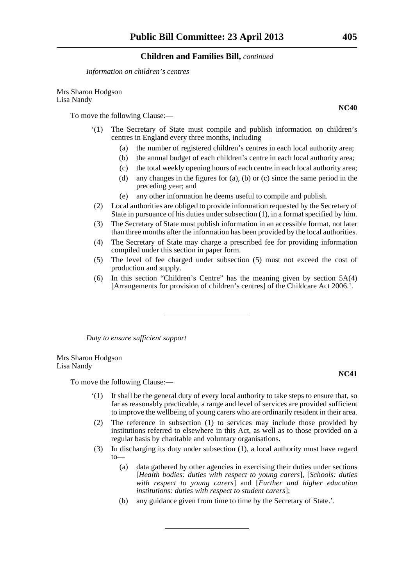*Information on children's centres*

Mrs Sharon Hodgson Lisa Nandy

To move the following Clause:—

- '(1) The Secretary of State must compile and publish information on children's centres in England every three months, including—
	- (a) the number of registered children's centres in each local authority area;
	- (b) the annual budget of each children's centre in each local authority area;
	- (c) the total weekly opening hours of each centre in each local authority area;
	- (d) any changes in the figures for (a), (b) or (c) since the same period in the preceding year; and
	- (e) any other information he deems useful to compile and publish.
- (2) Local authorities are obliged to provide information requested by the Secretary of State in pursuance of his duties under subsection (1), in a format specified by him.
- (3) The Secretary of State must publish information in an accessible format, not later than three months after the information has been provided by the local authorities.
- (4) The Secretary of State may charge a prescribed fee for providing information compiled under this section in paper form.
- (5) The level of fee charged under subsection (5) must not exceed the cost of production and supply.
- (6) In this section "Children's Centre" has the meaning given by section 5A(4) [Arrangements for provision of children's centres] of the Childcare Act 2006.'.

*Duty to ensure sufficient support*

Mrs Sharon Hodgson Lisa Nandy

To move the following Clause:—

- '(1) It shall be the general duty of every local authority to take steps to ensure that, so far as reasonably practicable, a range and level of services are provided sufficient to improve the wellbeing of young carers who are ordinarily resident in their area.
- (2) The reference in subsection (1) to services may include those provided by institutions referred to elsewhere in this Act, as well as to those provided on a regular basis by charitable and voluntary organisations.
- (3) In discharging its duty under subsection (1), a local authority must have regard to—
	- (a) data gathered by other agencies in exercising their duties under sections [*Health bodies: duties with respect to young carers*], [*Schools: duties with respect to young carers*] and [*Further and higher education institutions: duties with respect to student carers*];
	- (b) any guidance given from time to time by the Secretary of State.'.

**NC40**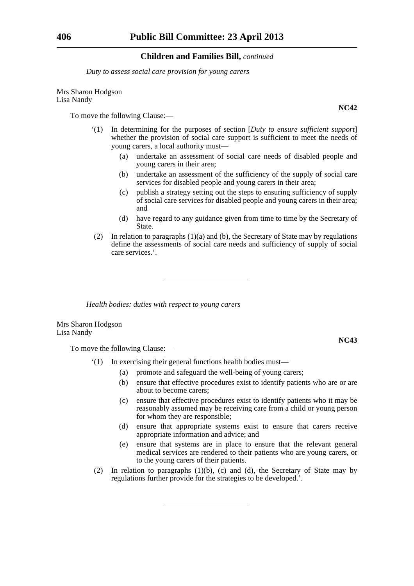*Duty to assess social care provision for young carers*

#### Mrs Sharon Hodgson Lisa Nandy

To move the following Clause:—

- '(1) In determining for the purposes of section [*Duty to ensure sufficient support*] whether the provision of social care support is sufficient to meet the needs of young carers, a local authority must—
	- (a) undertake an assessment of social care needs of disabled people and young carers in their area;
	- (b) undertake an assessment of the sufficiency of the supply of social care services for disabled people and young carers in their area;
	- (c) publish a strategy setting out the steps to ensuring sufficiency of supply of social care services for disabled people and young carers in their area; and
	- (d) have regard to any guidance given from time to time by the Secretary of State.
- (2) In relation to paragraphs (1)(a) and (b), the Secretary of State may by regulations define the assessments of social care needs and sufficiency of supply of social care services.'.

*Health bodies: duties with respect to young carers*

Mrs Sharon Hodgson Lisa Nandy

To move the following Clause:—

- '(1) In exercising their general functions health bodies must—
	- (a) promote and safeguard the well-being of young carers;
	- (b) ensure that effective procedures exist to identify patients who are or are about to become carers;
	- (c) ensure that effective procedures exist to identify patients who it may be reasonably assumed may be receiving care from a child or young person for whom they are responsible;
	- (d) ensure that appropriate systems exist to ensure that carers receive appropriate information and advice; and
	- (e) ensure that systems are in place to ensure that the relevant general medical services are rendered to their patients who are young carers, or to the young carers of their patients.
- (2) In relation to paragraphs  $(1)(b)$ , (c) and (d), the Secretary of State may by regulations further provide for the strategies to be developed.'.

**NC42**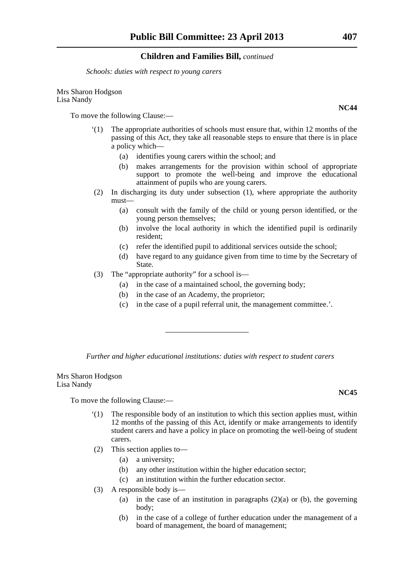*Schools: duties with respect to young carers*

#### Mrs Sharon Hodgson Lisa Nandy

To move the following Clause:—

- '(1) The appropriate authorities of schools must ensure that, within 12 months of the passing of this Act, they take all reasonable steps to ensure that there is in place a policy which—
	- (a) identifies young carers within the school; and
	- (b) makes arrangements for the provision within school of appropriate support to promote the well-being and improve the educational attainment of pupils who are young carers.
- (2) In discharging its duty under subsection (1), where appropriate the authority must—
	- (a) consult with the family of the child or young person identified, or the young person themselves;
	- (b) involve the local authority in which the identified pupil is ordinarily resident;
	- (c) refer the identified pupil to additional services outside the school;
	- (d) have regard to any guidance given from time to time by the Secretary of State.
- (3) The "appropriate authority" for a school is—
	- (a) in the case of a maintained school, the governing body;
	- (b) in the case of an Academy, the proprietor;
	- (c) in the case of a pupil referral unit, the management committee.'.

*Further and higher educational institutions: duties with respect to student carers*

Mrs Sharon Hodgson Lisa Nandy

To move the following Clause:—

- '(1) The responsible body of an institution to which this section applies must, within 12 months of the passing of this Act, identify or make arrangements to identify student carers and have a policy in place on promoting the well-being of student carers.
- (2) This section applies to—
	- (a) a university;
	- (b) any other institution within the higher education sector;
	- (c) an institution within the further education sector.
- (3) A responsible body is—
	- (a) in the case of an institution in paragraphs  $(2)(a)$  or (b), the governing body;
	- (b) in the case of a college of further education under the management of a board of management, the board of management;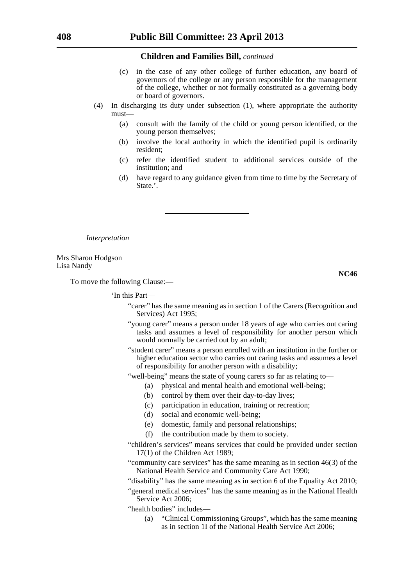- (c) in the case of any other college of further education, any board of governors of the college or any person responsible for the management of the college, whether or not formally constituted as a governing body or board of governors.
- (4) In discharging its duty under subsection (1), where appropriate the authority must—
	- (a) consult with the family of the child or young person identified, or the young person themselves;
	- (b) involve the local authority in which the identified pupil is ordinarily resident;
	- (c) refer the identified student to additional services outside of the institution; and
	- (d) have regard to any guidance given from time to time by the Secretary of State.'.

*Interpretation*

Mrs Sharon Hodgson Lisa Nandy

**NC46**

To move the following Clause:—

'In this Part—

- "carer" has the same meaning as in section 1 of the Carers (Recognition and Services) Act 1995;
- "young carer" means a person under 18 years of age who carries out caring tasks and assumes a level of responsibility for another person which would normally be carried out by an adult;
- "student carer" means a person enrolled with an institution in the further or higher education sector who carries out caring tasks and assumes a level of responsibility for another person with a disability;
- "well-being" means the state of young carers so far as relating to—
	- (a) physical and mental health and emotional well-being;
		- (b) control by them over their day-to-day lives;
		- (c) participation in education, training or recreation;
		- (d) social and economic well-being;
		- (e) domestic, family and personal relationships;
		- (f) the contribution made by them to society.
- "children's services" means services that could be provided under section 17(1) of the Children Act 1989;

"community care services" has the same meaning as in section 46(3) of the National Health Service and Community Care Act 1990;

- "disability" has the same meaning as in section 6 of the Equality Act 2010;
- "general medical services" has the same meaning as in the National Health Service Act 2006;
- "health bodies" includes—
	- (a) "Clinical Commissioning Groups", which has the same meaning as in section 1I of the National Health Service Act 2006;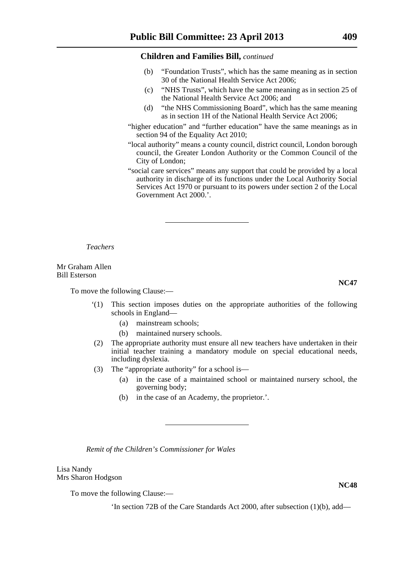- (b) "Foundation Trusts", which has the same meaning as in section 30 of the National Health Service Act 2006;
- (c) "NHS Trusts", which have the same meaning as in section 25 of the National Health Service Act 2006; and
- (d) "the NHS Commissioning Board", which has the same meaning as in section 1H of the National Health Service Act 2006;
- "higher education" and "further education" have the same meanings as in section 94 of the Equality Act 2010;
- "local authority" means a county council, district council, London borough council, the Greater London Authority or the Common Council of the City of London;
- "social care services" means any support that could be provided by a local authority in discharge of its functions under the Local Authority Social Services Act 1970 or pursuant to its powers under section 2 of the Local Government Act 2000.'.

*Teachers*

Mr Graham Allen Bill Esterson

To move the following Clause:—

- '(1) This section imposes duties on the appropriate authorities of the following schools in England—
	- (a) mainstream schools;
	- (b) maintained nursery schools.
- (2) The appropriate authority must ensure all new teachers have undertaken in their initial teacher training a mandatory module on special educational needs, including dyslexia.
- (3) The "appropriate authority" for a school is—
	- (a) in the case of a maintained school or maintained nursery school, the governing body;
	- (b) in the case of an Academy, the proprietor.'.

*Remit of the Children's Commissioner for Wales*

Lisa Nandy Mrs Sharon Hodgson

To move the following Clause:—

'In section 72B of the Care Standards Act 2000, after subsection (1)(b), add—

**NC47**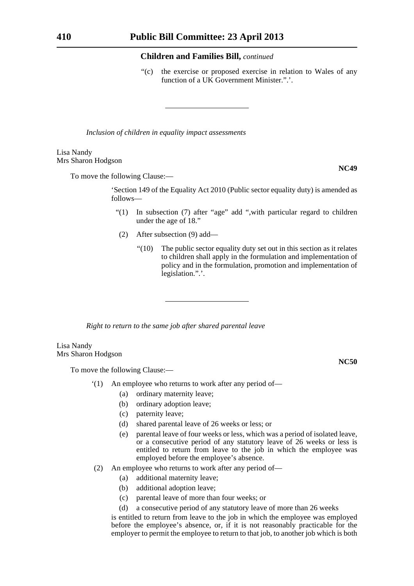"(c) the exercise or proposed exercise in relation to Wales of any function of a UK Government Minister.".'.

*Inclusion of children in equality impact assessments*

#### Lisa Nandy Mrs Sharon Hodgson

To move the following Clause:—

'Section 149 of the Equality Act 2010 (Public sector equality duty) is amended as follows—

- "(1) In subsection (7) after "age" add ",with particular regard to children under the age of 18."
- (2) After subsection (9) add—
	- "(10) The public sector equality duty set out in this section as it relates to children shall apply in the formulation and implementation of policy and in the formulation, promotion and implementation of legislation.".'.

*Right to return to the same job after shared parental leave* 

#### Lisa Nandy Mrs Sharon Hodgson

To move the following Clause:—

- '(1) An employee who returns to work after any period of—
	- (a) ordinary maternity leave;
	- (b) ordinary adoption leave;
	- (c) paternity leave;
	- (d) shared parental leave of 26 weeks or less; or
	- (e) parental leave of four weeks or less, which was a period of isolated leave, or a consecutive period of any statutory leave of 26 weeks or less is entitled to return from leave to the job in which the employee was employed before the employee's absence.
- (2) An employee who returns to work after any period of—
	- (a) additional maternity leave;
	- (b) additional adoption leave;
	- (c) parental leave of more than four weeks; or
	- (d) a consecutive period of any statutory leave of more than 26 weeks

is entitled to return from leave to the job in which the employee was employed before the employee's absence, or, if it is not reasonably practicable for the employer to permit the employee to return to that job, to another job which is both

**NC49**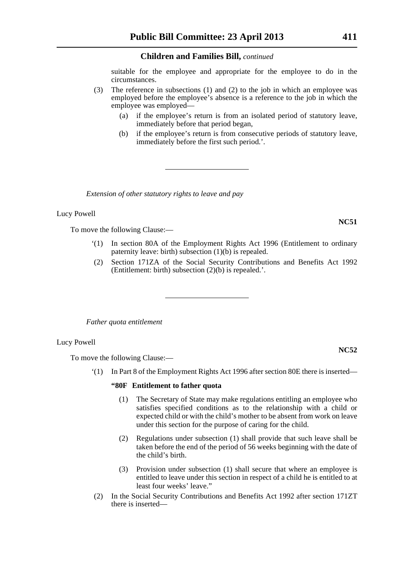suitable for the employee and appropriate for the employee to do in the circumstances.

- (3) The reference in subsections (1) and (2) to the job in which an employee was employed before the employee's absence is a reference to the job in which the employee was employed—
	- (a) if the employee's return is from an isolated period of statutory leave, immediately before that period began,
	- (b) if the employee's return is from consecutive periods of statutory leave, immediately before the first such period.'.

*Extension of other statutory rights to leave and pay*

#### Lucy Powell

To move the following Clause:—

- '(1) In section 80A of the Employment Rights Act 1996 (Entitlement to ordinary paternity leave: birth) subsection (1)(b) is repealed.
- (2) Section 171ZA of the Social Security Contributions and Benefits Act 1992 (Entitlement: birth) subsection (2)(b) is repealed.'.

*Father quota entitlement*

#### Lucy Powell

To move the following Clause:—

'(1) In Part 8 of the Employment Rights Act 1996 after section 80E there is inserted—

#### **"80F Entitlement to father quota**

- (1) The Secretary of State may make regulations entitling an employee who satisfies specified conditions as to the relationship with a child or expected child or with the child's mother to be absent from work on leave under this section for the purpose of caring for the child.
- (2) Regulations under subsection (1) shall provide that such leave shall be taken before the end of the period of 56 weeks beginning with the date of the child's birth.
- (3) Provision under subsection (1) shall secure that where an employee is entitled to leave under this section in respect of a child he is entitled to at least four weeks' leave."
- (2) In the Social Security Contributions and Benefits Act 1992 after section 171ZT there is inserted—

#### **NC52**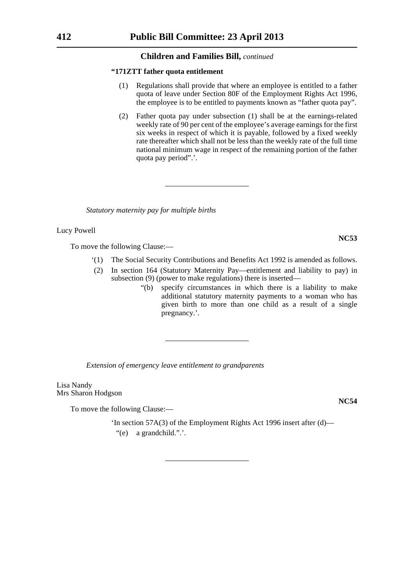#### **"171ZTT father quota entitlement**

- (1) Regulations shall provide that where an employee is entitled to a father quota of leave under Section 80F of the Employment Rights Act 1996, the employee is to be entitled to payments known as "father quota pay".
- (2) Father quota pay under subsection (1) shall be at the earnings-related weekly rate of 90 per cent of the employee's average earnings for the first six weeks in respect of which it is payable, followed by a fixed weekly rate thereafter which shall not be less than the weekly rate of the full time national minimum wage in respect of the remaining portion of the father quota pay period".'.

*Statutory maternity pay for multiple births*

Lucy Powell

To move the following Clause:—

- '(1) The Social Security Contributions and Benefits Act 1992 is amended as follows.
- (2) In section 164 (Statutory Maternity Pay—entitlement and liability to pay) in subsection (9) (power to make regulations) there is inserted—
	- "(b) specify circumstances in which there is a liability to make additional statutory maternity payments to a woman who has given birth to more than one child as a result of a single pregnancy.'.

*Extension of emergency leave entitlement to grandparents*

Lisa Nandy Mrs Sharon Hodgson

To move the following Clause:—

'In section 57A(3) of the Employment Rights Act 1996 insert after (d)— "(e) a grandchild.".'.

**NC54**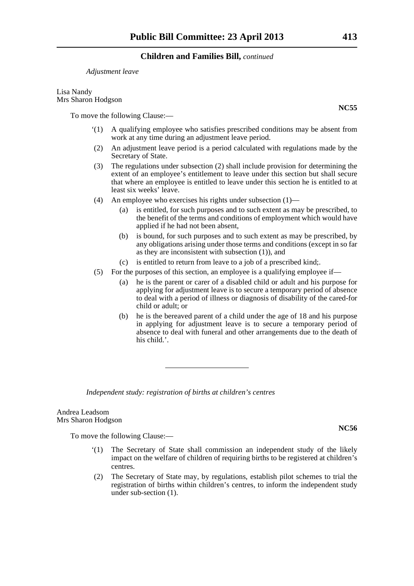*Adjustment leave*

Lisa Nandy Mrs Sharon Hodgson

To move the following Clause:—

- '(1) A qualifying employee who satisfies prescribed conditions may be absent from work at any time during an adjustment leave period.
- (2) An adjustment leave period is a period calculated with regulations made by the Secretary of State.
- (3) The regulations under subsection (2) shall include provision for determining the extent of an employee's entitlement to leave under this section but shall secure that where an employee is entitled to leave under this section he is entitled to at least six weeks' leave.
- (4) An employee who exercises his rights under subsection (1)—
	- (a) is entitled, for such purposes and to such extent as may be prescribed, to the benefit of the terms and conditions of employment which would have applied if he had not been absent,
	- (b) is bound, for such purposes and to such extent as may be prescribed, by any obligations arising under those terms and conditions (except in so far as they are inconsistent with subsection (1)), and
	- (c) is entitled to return from leave to a job of a prescribed kind;.
- (5) For the purposes of this section, an employee is a qualifying employee if—
	- (a) he is the parent or carer of a disabled child or adult and his purpose for applying for adjustment leave is to secure a temporary period of absence to deal with a period of illness or diagnosis of disability of the cared-for child or adult; or
	- (b) he is the bereaved parent of a child under the age of 18 and his purpose in applying for adjustment leave is to secure a temporary period of absence to deal with funeral and other arrangements due to the death of his child.'.

*Independent study: registration of births at children's centres*

Andrea Leadsom Mrs Sharon Hodgson

To move the following Clause:—

- '(1) The Secretary of State shall commission an independent study of the likely impact on the welfare of children of requiring births to be registered at children's centres.
- (2) The Secretary of State may, by regulations, establish pilot schemes to trial the registration of births within children's centres, to inform the independent study under sub-section (1).

**NC56**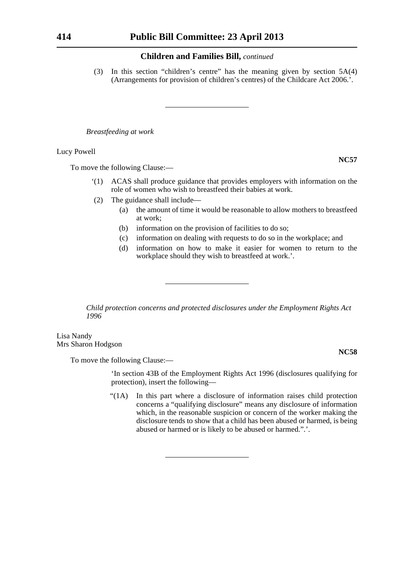(3) In this section "children's centre" has the meaning given by section 5A(4) (Arrangements for provision of children's centres) of the Childcare Act 2006.'.

*Breastfeeding at work*

#### Lucy Powell

To move the following Clause:—

- '(1) ACAS shall produce guidance that provides employers with information on the role of women who wish to breastfeed their babies at work.
- (2) The guidance shall include—
	- (a) the amount of time it would be reasonable to allow mothers to breastfeed at work;
	- (b) information on the provision of facilities to do so;
	- (c) information on dealing with requests to do so in the workplace; and
	- (d) information on how to make it easier for women to return to the workplace should they wish to breastfeed at work.'.

*Child protection concerns and protected disclosures under the Employment Rights Act 1996*

Lisa Nandy Mrs Sharon Hodgson

To move the following Clause:—

'In section 43B of the Employment Rights Act 1996 (disclosures qualifying for protection), insert the following—

"(1A) In this part where a disclosure of information raises child protection concerns a "qualifying disclosure" means any disclosure of information which, in the reasonable suspicion or concern of the worker making the disclosure tends to show that a child has been abused or harmed, is being abused or harmed or is likely to be abused or harmed.".'.

**NC57**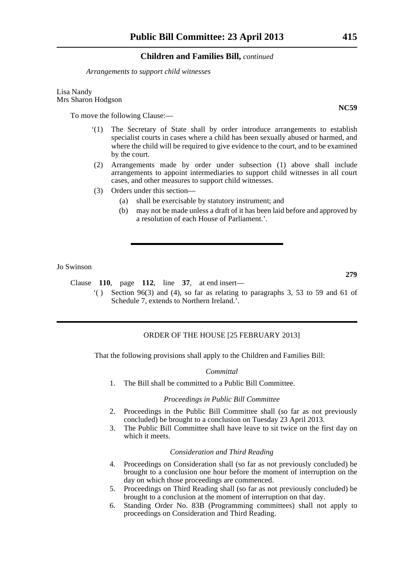*Arrangements to support child witnesses*

Lisa Nandy Mrs Sharon Hodgson

To move the following Clause:—

- '(1) The Secretary of State shall by order introduce arrangements to establish specialist courts in cases where a child has been sexually abused or harmed, and where the child will be required to give evidence to the court, and to be examined by the court.
- (2) Arrangements made by order under subsection (1) above shall include arrangements to appoint intermediaries to support child witnesses in all court cases, and other measures to support child witnesses.
- (3) Orders under this section—
	- (a) shall be exercisable by statutory instrument; and
	- (b) may not be made unless a draft of it has been laid before and approved by a resolution of each House of Parliament.'.

Jo Swinson

Clause **110**, page **112**, line **37**, at end insert—

'( ) Section 96(3) and (4), so far as relating to paragraphs 3, 53 to 59 and 61 of Schedule 7, extends to Northern Ireland.<sup>7</sup>.

### ORDER OF THE HOUSE [25 FEBRUARY 2013]

That the following provisions shall apply to the Children and Families Bill:

#### *Committal*

1. The Bill shall be committed to a Public Bill Committee.

#### *Proceedings in Public Bill Committee*

- 2. Proceedings in the Public Bill Committee shall (so far as not previously concluded) be brought to a conclusion on Tuesday 23 April 2013.
- 3. The Public Bill Committee shall have leave to sit twice on the first day on which it meets.

#### *Consideration and Third Reading*

- 4. Proceedings on Consideration shall (so far as not previously concluded) be brought to a conclusion one hour before the moment of interruption on the day on which those proceedings are commenced.
- 5. Proceedings on Third Reading shall (so far as not previously concluded) be brought to a conclusion at the moment of interruption on that day.
- 6. Standing Order No. 83B (Programming committees) shall not apply to proceedings on Consideration and Third Reading.

**NC59**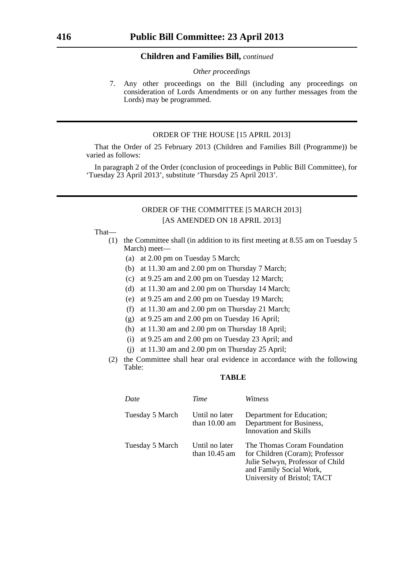#### *Other proceedings*

7. Any other proceedings on the Bill (including any proceedings on consideration of Lords Amendments or on any further messages from the Lords) may be programmed.

### ORDER OF THE HOUSE [15 APRIL 2013]

That the Order of 25 February 2013 (Children and Families Bill (Programme)) be varied as follows:

In paragraph 2 of the Order (conclusion of proceedings in Public Bill Committee), for 'Tuesday 23 April 2013', substitute 'Thursday 25 April 2013'.

### ORDER OF THE COMMITTEE [5 MARCH 2013] [AS AMENDED ON 18 APRIL 2013]

#### That—

- (1) the Committee shall (in addition to its first meeting at 8.55 am on Tuesday 5 March) meet—
	- (a) at 2.00 pm on Tuesday 5 March;
	- (b) at 11.30 am and 2.00 pm on Thursday 7 March;
	- (c) at 9.25 am and 2.00 pm on Tuesday 12 March;
	- (d) at 11.30 am and 2.00 pm on Thursday 14 March;
	- (e) at 9.25 am and 2.00 pm on Tuesday 19 March;
	- (f) at 11.30 am and 2.00 pm on Thursday 21 March;
	- (g) at 9.25 am and 2.00 pm on Tuesday 16 April;
	- (h) at 11.30 am and 2.00 pm on Thursday 18 April;
	- (i) at 9.25 am and 2.00 pm on Tuesday 23 April; and
	- (j) at 11.30 am and 2.00 pm on Thursday 25 April;
- (2) the Committee shall hear oral evidence in accordance with the following Table:

### **TABLE**

| Date            | Time                                      | Witness                                                                                                                                                      |
|-----------------|-------------------------------------------|--------------------------------------------------------------------------------------------------------------------------------------------------------------|
| Tuesday 5 March | Until no later<br>than $10.00 \text{ am}$ | Department for Education;<br>Department for Business,<br><b>Innovation</b> and Skills                                                                        |
| Tuesday 5 March | Until no later<br>than $10.45$ am         | The Thomas Coram Foundation<br>for Children (Coram); Professor<br>Julie Selwyn, Professor of Child<br>and Family Social Work,<br>University of Bristol; TACT |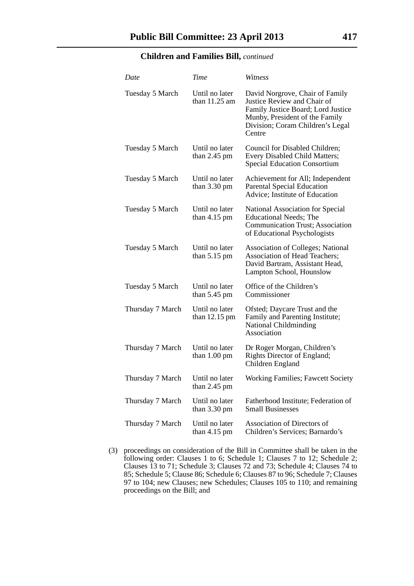| Date             | Time                                     | Witness                                                                                                                                                                              |
|------------------|------------------------------------------|--------------------------------------------------------------------------------------------------------------------------------------------------------------------------------------|
| Tuesday 5 March  | Until no later<br>than 11.25 am          | David Norgrove, Chair of Family<br>Justice Review and Chair of<br>Family Justice Board; Lord Justice<br>Munby, President of the Family<br>Division; Coram Children's Legal<br>Centre |
| Tuesday 5 March  | Until no later<br>than $2.45$ pm         | Council for Disabled Children;<br>Every Disabled Child Matters;<br><b>Special Education Consortium</b>                                                                               |
| Tuesday 5 March  | Until no later<br>than $3.30 \text{ pm}$ | Achievement for All; Independent<br><b>Parental Special Education</b><br>Advice; Institute of Education                                                                              |
| Tuesday 5 March  | Until no later<br>than $4.15$ pm         | National Association for Special<br><b>Educational Needs; The</b><br><b>Communication Trust; Association</b><br>of Educational Psychologists                                         |
| Tuesday 5 March  | Until no later<br>than $5.15$ pm         | <b>Association of Colleges; National</b><br><b>Association of Head Teachers;</b><br>David Bartram, Assistant Head,<br>Lampton School, Hounslow                                       |
| Tuesday 5 March  | Until no later<br>than $5.45$ pm         | Office of the Children's<br>Commissioner                                                                                                                                             |
| Thursday 7 March | Until no later<br>than $12.15$ pm        | Ofsted; Daycare Trust and the<br>Family and Parenting Institute;<br><b>National Childminding</b><br>Association                                                                      |
| Thursday 7 March | Until no later<br>than $1.00 \text{ pm}$ | Dr Roger Morgan, Children's<br>Rights Director of England;<br>Children England                                                                                                       |
| Thursday 7 March | Until no later<br>than $2.45$ pm         | <b>Working Families; Fawcett Society</b>                                                                                                                                             |
| Thursday 7 March | Until no later<br>than $3.30 \text{ pm}$ | Fatherhood Institute; Federation of<br><b>Small Businesses</b>                                                                                                                       |
| Thursday 7 March | Until no later<br>than $4.15$ pm         | Association of Directors of<br>Children's Services; Barnardo's                                                                                                                       |

(3) proceedings on consideration of the Bill in Committee shall be taken in the following order: Clauses 1 to 6; Schedule 1; Clauses 7 to 12; Schedule 2; Clauses 13 to 71; Schedule 3; Clauses 72 and 73; Schedule 4; Clauses 74 to 85; Schedule 5; Clause 86; Schedule 6; Clauses 87 to 96; Schedule 7; Clauses 97 to 104; new Clauses; new Schedules; Clauses 105 to 110; and remaining proceedings on the Bill; and